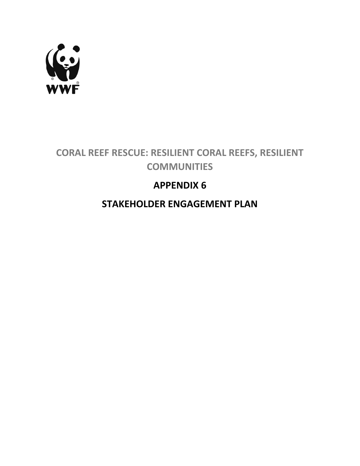

# **CORAL REEF RESCUE: RESILIENT CORAL REEFS, RESILIENT COMMUNITIES**

# **APPENDIX 6**

**STAKEHOLDER ENGAGEMENT PLAN**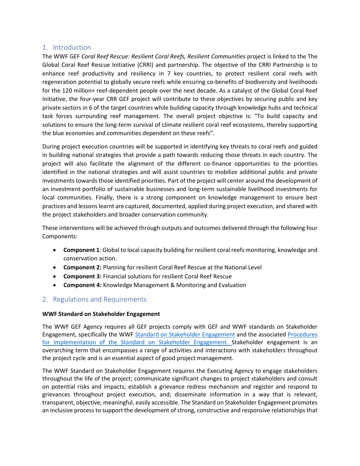# 1. Introduction

The WWF GEF *Coral Reef Rescue: Resilient Coral Reefs, Resilient Communities* project is linked to the The Global Coral Reef Rescue Initiative (CRRI) and partnership. The objective of the CRRI Partnership is to enhance reef productivity and resiliency in 7 key countries, to protect resilient coral reefs with regeneration potential to globally secure reefs while ensuring co-benefits of biodiversity and livelihoods for the 120 million+ reef-dependent people over the next decade. As a catalyst of the Global Coral Reef Initiative, the four-year CRR GEF project will contribute to these objectives by securing public and key private sectors in 6 of the target countries while building capacity through knowledge hubs and technical task forces surrounding reef management. The overall project objective is: "To build capacity and solutions to ensure the long-term survival of climate resilient coral reef ecosystems, thereby supporting the blue economies and communities dependent on these reefs".

During project execution countries will be supported in identifying key threats to coral reefs and guided in building national strategies that provide a path towards reducing those threats in each country. The project will also facilitate the alignment of the different co-finance opportunities to the priorities identified in the national strategies and will assist countries to mobilize additional public and private investments towards those identified priorities. Part of the project will center around the development of an investment portfolio of sustainable businesses and long-term sustainable livelihood investments for local communities. Finally, there is a strong component on knowledge management to ensure best practices and lessons learnt are captured, documented, applied during project execution, and shared with the project stakeholders and broader conservation community.

These interventions will be achieved through outputs and outcomes delivered through the following four Components:

- **Component 1**: Global to local capacity building for resilient coral reefs monitoring, knowledge and conservation action.
- **Component 2:** Planning for resilient Coral Reef Rescue at the National Level
- **Component 3:** Financial solutions for resilient Coral Reef Rescue
- **Component 4:** Knowledge Management & Monitoring and Evaluation

# 2. Regulations and Requirements

## **WWF Standard on Stakeholder Engagement**

The WWF GEF Agency requires all GEF projects comply with GEF and WWF standards on Stakeholder Engagement, specifically the WWF [Standard on Stakeholder Engagement](https://wwfgeftracks.com/sites/default/files/2019-02/Standard%20on%20Stakeholder%20Engagement.pdf) and the associated [Procedures](https://wwfgeftracks.com/sites/default/files/2019-02/Procedures%20for%20Implementation%20of%20Standard%20on%20Stakeholder%20Engagement.pdf)  [for Implementation of the Standard on Stakeholder Engagement](https://wwfgeftracks.com/sites/default/files/2019-02/Procedures%20for%20Implementation%20of%20Standard%20on%20Stakeholder%20Engagement.pdf). Stakeholder engagement is an overarching term that encompasses a range of activities and interactions with stakeholders throughout the project cycle and is an essential aspect of good project management.

The WWF Standard on Stakeholder Engagement requires the Executing Agency to engage stakeholders throughout the life of the project; communicate significant changes to project stakeholders and consult on potential risks and impacts; establish a grievance redress mechanism and register and respond to grievances throughout project execution, and; disseminate information in a way that is relevant, transparent, objective, meaningful, easily accessible. The Standard on Stakeholder Engagement promotes an inclusive process to support the development of strong, constructive and responsive relationships that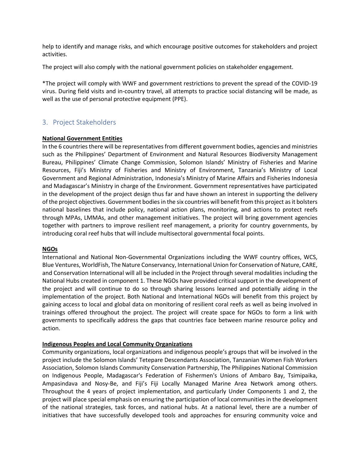help to identify and manage risks, and which encourage positive outcomes for stakeholders and project activities.

The project will also comply with the national government policies on stakeholder engagement.

\*The project will comply with WWF and government restrictions to prevent the spread of the COVID-19 virus. During field visits and in-country travel, all attempts to practice social distancing will be made, as well as the use of personal protective equipment (PPE).

# 3. Project Stakeholders

#### **National Government Entities**

In the 6 countries there will be representatives from different government bodies, agencies and ministries such as the Philippines' Department of Environment and Natural Resources Biodiversity Management Bureau, Philippines' Climate Change Commission, Solomon Islands' Ministry of Fisheries and Marine Resources, Fiji's Ministry of Fisheries and Ministry of Environment, Tanzania's Ministry of Local Government and Regional Administration, Indonesia's Ministry of Marine Affairs and Fisheries Indonesia and Madagascar's Ministry in charge of the Environment. Government representatives have participated in the development of the project design thus far and have shown an interest in supporting the delivery of the project objectives. Government bodies in the six countries will benefit from this project as it bolsters national baselines that include policy, national action plans, monitoring, and actions to protect reefs through MPAs, LMMAs, and other management initiatives. The project will bring government agencies together with partners to improve resilient reef management, a priority for country governments, by introducing coral reef hubs that will include multisectoral governmental focal points.

#### **NGOs**

International and National Non-Governmental Organizations including the WWF country offices, WCS, Blue Ventures, WorldFish, The Nature Conservancy, International Union for Conservation of Nature, CARE, and Conservation International will all be included in the Project through several modalities including the National Hubs created in component 1. These NGOs have provided critical support in the development of the project and will continue to do so through sharing lessons learned and potentially aiding in the implementation of the project. Both National and International NGOs will benefit from this project by gaining access to local and global data on monitoring of resilient coral reefs as well as being involved in trainings offered throughout the project. The project will create space for NGOs to form a link with governments to specifically address the gaps that countries face between marine resource policy and action.

#### **Indigenous Peoples and Local Community Organizations**

Community organizations, local organizations and indigenous people's groups that will be involved in the project include the Solomon Islands' Tetepare Descendants Association, Tanzanian Women Fish Workers Association, Solomon Islands Community Conservation Partnership, The Philippines National Commission on Indigenous People, Madagascar's Federation of Fishermen's Unions of Ambaro Bay, Tsimipaika, Ampasindava and Nosy-Be, and Fiji's Fiji Locally Managed Marine Area Network among others. Throughout the 4 years of project implementation, and particularly Under Components 1 and 2, the project will place special emphasis on ensuring the participation of local communities in the development of the national strategies, task forces, and national hubs. At a national level, there are a number of initiatives that have successfully developed tools and approaches for ensuring community voice and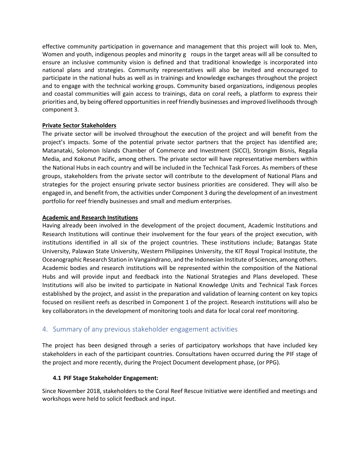effective community participation in governance and management that this project will look to. Men, Women and youth, indigenous peoples and minority g roups in the target areas will all be consulted to ensure an inclusive community vision is defined and that traditional knowledge is incorporated into national plans and strategies. Community representatives will also be invited and encouraged to participate in the national hubs as well as in trainings and knowledge exchanges throughout the project and to engage with the technical working groups. Community based organizations, indigenous peoples and coastal communities will gain access to trainings, data on coral reefs, a platform to express their priorities and, by being offered opportunities in reef friendly businesses and improved livelihoods through component 3.

## **Private Sector Stakeholders**

The private sector will be involved throughout the execution of the project and will benefit from the project's impacts. Some of the potential private sector partners that the project has identified are; Matanataki, Solomon Islands Chamber of Commerce and Investment (SICCI), Strongim Bisnis, Regalia Media, and Kokonut Pacific, among others. The private sector will have representative members within the National Hubs in each country and will be included in the Technical Task Forces. As members of these groups, stakeholders from the private sector will contribute to the development of National Plans and strategies for the project ensuring private sector business priorities are considered. They will also be engaged in, and benefit from, the activities under Component 3 during the development of an investment portfolio for reef friendly businesses and small and medium enterprises.

# **Academic and Research Institutions**

Having already been involved in the development of the project document, Academic Institutions and Research Institutions will continue their involvement for the four years of the project execution, with institutions identified in all six of the project countries. These institutions include; Batangas State University, Palawan State University, Western Philippines University, the KIT Royal Tropical Institute, the Oceanographic Research Station in Vangaindrano, and the Indonesian Institute of Sciences, among others. Academic bodies and research institutions will be represented within the composition of the National Hubs and will provide input and feedback into the National Strategies and Plans developed. These Institutions will also be invited to participate in National Knowledge Units and Technical Task Forces established by the project, and assist in the preparation and validation of learning content on key topics focused on resilient reefs as described in Component 1 of the project. Research institutions will also be key collaborators in the development of monitoring tools and data for local coral reef monitoring.

# 4. Summary of any previous stakeholder engagement activities

The project has been designed through a series of participatory workshops that have included key stakeholders in each of the participant countries. Consultations haven occurred during the PIF stage of the project and more recently, during the Project Document development phase, (or PPG).

# **4.1 PIF Stage Stakeholder Engagement:**

Since November 2018, stakeholders to the Coral Reef Rescue Initiative were identified and meetings and workshops were held to solicit feedback and input.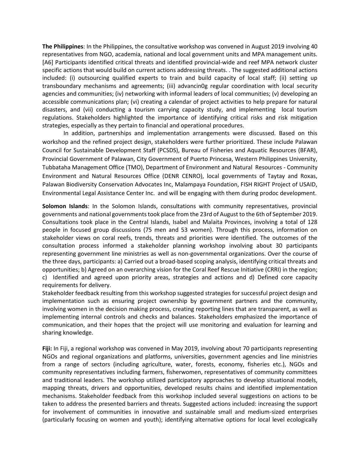**The Philippines**: In the Philippines, the consultative workshop was convened in August 2019 involving 40 representatives from NGO, academia, national and local government units and MPA management units. [A6] Participants identified critical threats and identified provincial-wide and reef MPA network cluster specific actions that would build on current actions addressing threats. . The suggested additional actions included: (i) outsourcing qualified experts to train and build capacity of local staff; (ii) setting up transboundary mechanisms and agreements; (iii) advancin0g regular coordination with local security agencies and communities; (iv) networking with informal leaders of local communities; (v) developing an accessible communications plan; (vi) creating a calendar of project activities to help prepare for natural disasters, and (vii) conducting a tourism carrying capacity study, and implementing local tourism regulations. Stakeholders highlighted the importance of identifying critical risks and risk mitigation strategies, especially as they pertain to financial and operational procedures.

In addition, partnerships and implementation arrangements were discussed. Based on this workshop and the refined project design, stakeholders were further prioritized. These include Palawan Council for Sustainable Development Staff (PCSDS), Bureau of Fisheries and Aquatic Resources (BFAR), Provincial Government of Palawan, City Government of Puerto Princesa, Western Philippines University, Tubbataha Management Office (TMO), Department of Environment and Natural Resources - Community Environment and Natural Resources Office (DENR CENRO), local governments of Taytay and Roxas, Palawan Biodiversity Conservation Advocates Inc, Malampaya Foundation, FISH RIGHT Project of USAID, Environmental Legal Assistance Center Inc. and will be engaging with them during prodoc development.

**Solomon Islands**: In the Solomon Islands, consultations with community representatives, provincial governments and national governments took place from the 23rd of August to the 6th of September 2019. Consultations took place in the Central Islands, Isabel and Malaita Provinces, involving a total of 128 people in focused group discussions (75 men and 53 women). Through this process, information on stakeholder views on coral reefs, trends, threats and priorities were identified. The outcomes of the consultation process informed a stakeholder planning workshop involving about 30 participants representing government line ministries as well as non-governmental organizations. Over the course of the three days, participants: a) Carried out a broad-based scoping analysis, identifying critical threats and opportunities; b) Agreed on an overarching vision for the Coral Reef Rescue Initiative (CRRI) in the region; c) Identified and agreed upon priority areas, strategies and actions and d) Defined core capacity requirements for delivery.

Stakeholder feedback resulting from this workshop suggested strategies for successful project design and implementation such as ensuring project ownership by government partners and the community, involving women in the decision making process, creating reporting lines that are transparent, as well as implementing internal controls and checks and balances. Stakeholders emphasized the importance of communication, and their hopes that the project will use monitoring and evaluation for learning and sharing knowledge.

**Fiji:** In Fiji, a regional workshop was convened in May 2019, involving about 70 participants representing NGOs and regional organizations and platforms, universities, government agencies and line ministries from a range of sectors (including agriculture, water, forests, economy, fisheries etc.), NGOs and community representatives including farmers, fisherwomen, representatives of community committees and traditional leaders. The workshop utilized participatory approaches to develop situational models, mapping threats, drivers and opportunities, developed results chains and identified implementation mechanisms. Stakeholder feedback from this workshop included several suggestions on actions to be taken to address the presented barriers and threats. Suggested actions included: increasing the support for involvement of communities in innovative and sustainable small and medium-sized enterprises (particularly focusing on women and youth); identifying alternative options for local level ecologically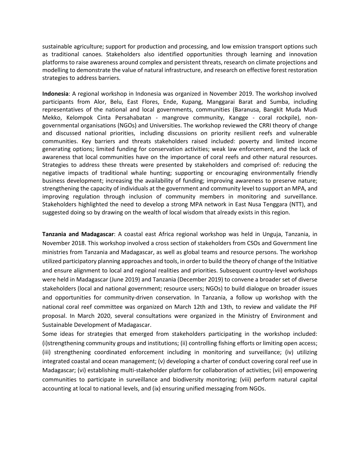sustainable agriculture; support for production and processing, and low emission transport options such as traditional canoes. Stakeholders also identified opportunities through learning and innovation platforms to raise awareness around complex and persistent threats, research on climate projections and modelling to demonstrate the value of natural infrastructure, and research on effective forest restoration strategies to address barriers.

**Indonesia**: A regional workshop in Indonesia was organized in November 2019. The workshop involved participants from Alor, Belu, East Flores, Ende, Kupang, Manggarai Barat and Sumba, including representatives of the national and local governments, communities (Baranusa, Bangkit Muda Mudi Mekko, Kelompok Cinta Persahabatan - mangrove community, Kangge - coral rockpile), nongovernmental organisations (NGOs) and Universities. The workshop reviewed the CRRI theory of change and discussed national priorities, including discussions on priority resilient reefs and vulnerable communities. Key barriers and threats stakeholders raised included: poverty and limited income generating options; limited funding for conservation activities; weak law enforcement, and the lack of awareness that local communities have on the importance of coral reefs and other natural resources. Strategies to address these threats were presented by stakeholders and comprised of: reducing the negative impacts of traditional whale hunting; supporting or encouraging environmentally friendly business development; increasing the availability of funding; improving awareness to preserve nature; strengthening the capacity of individuals at the government and community level to support an MPA, and improving regulation through inclusion of community members in monitoring and surveillance. Stakeholders highlighted the need to develop a strong MPA network in East Nusa Tenggara (NTT), and suggested doing so by drawing on the wealth of local wisdom that already exists in this region.

**Tanzania and Madagascar**: A coastal east Africa regional workshop was held in Unguja, Tanzania, in November 2018. This workshop involved a cross section of stakeholders from CSOs and Government line ministries from Tanzania and Madagascar, as well as global teams and resource persons. The workshop utilized participatory planning approaches and tools, in order to build the theory of change of the Initiative and ensure alignment to local and regional realities and priorities. Subsequent country-level workshops were held in Madagascar (June 2019) and Tanzania (December 2019) to convene a broader set of diverse stakeholders (local and national government; resource users; NGOs) to build dialogue on broader issues and opportunities for community-driven conservation. In Tanzania, a follow up workshop with the national coral reef committee was organized on March 12th and 13th, to review and validate the PIF proposal. In March 2020, several consultations were organized in the Ministry of Environment and Sustainable Development of Madagascar.

Some ideas for strategies that emerged from stakeholders participating in the workshop included: (i)strengthening community groups and institutions; (ii) controlling fishing efforts or limiting open access; (iii) strengthening coordinated enforcement including in monitoring and surveillance; (iv) utilizing integrated coastal and ocean management; (v) developing a charter of conduct covering coral reef use in Madagascar; (vi) establishing multi-stakeholder platform for collaboration of activities; (vii) empowering communities to participate in surveillance and biodiversity monitoring; (viii) perform natural capital accounting at local to national levels, and (ix) ensuring unified messaging from NGOs.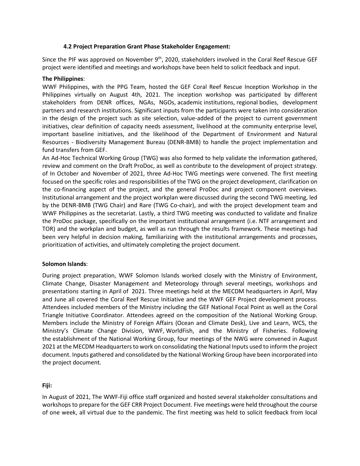#### **4.2 Project Preparation Grant Phase Stakeholder Engagement:**

Since the PIF was approved on November 9<sup>th</sup>, 2020, stakeholders involved in the Coral Reef Rescue GEF project were identified and meetings and workshops have been held to solicit feedback and input.

### **The Philippines**:

WWF Philippines, with the PPG Team, hosted the GEF Coral Reef Rescue Inception Workshop in the Philippines virtually on August 4th, 2021. The inception workshop was participated by different stakeholders from DENR offices, NGAs, NGOs, academic institutions, regional bodies, development partners and research institutions. Significant inputs from the participants were taken into consideration in the design of the project such as site selection, value-added of the project to current government initiatives, clear definition of capacity needs assessment, livelihood at the community enterprise level, important baseline initiatives, and the likelihood of the Department of Environment and Natural Resources - Biodiversity Management Bureau (DENR-BMB) to handle the project implementation and fund transfers from GEF.

An Ad-Hoc Technical Working Group (TWG) was also formed to help validate the information gathered, review and comment on the Draft ProDoc, as well as contribute to the development of project strategy. of In October and November of 2021, three Ad-Hoc TWG meetings were convened. The first meeting focused on the specific roles and responsibilities of the TWG on the project development, clarification on the co-financing aspect of the project, and the general ProDoc and project component overviews. Institutional arrangement and the project workplan were discussed during the second TWG meeting, led by the DENR-BMB (TWG Chair) and Rare (TWG Co-chair), and with the project development team and WWF Philippines as the secretariat. Lastly, a third TWG meeting was conducted to validate and finalize the ProDoc package, specifically on the important institutional arrangement (i.e. NTF arrangement and TOR) and the workplan and budget, as well as run through the results framework. These meetings had been very helpful in decision making, familiarizing with the institutional arrangements and processes, prioritization of activities, and ultimately completing the project document.

## **Solomon Islands**:

During project preparation, WWF Solomon Islands worked closely with the Ministry of Environment, Climate Change, Disaster Management and Meteorology through several meetings, workshops and presentations starting in April of 2021. Three meetings held at the MECDM headquarters in April, May and June all covered the Coral Reef Rescue Initiative and the WWF GEF Project development process. Attendees included members of the Ministry including the GEF National Focal Point as well as the Coral Triangle Initiative Coordinator. Attendees agreed on the composition of the National Working Group. Members include the Ministry of Foreign Affairs (Ocean and Climate Desk), Live and Learn, WCS, the Ministry's Climate Change Division, WWF, WorldFish, and the Ministry of Fisheries. Following the establishment of the National Working Group, four meetings of the NWG were convened in August 2021 at the MECDM Headquarters to work on consolidating the National Inputs used to inform the project document. Inputs gathered and consolidated by the National Working Group have been incorporated into the project document.

## **Fiji:**

In August of 2021, The WWF-Fiji office staff organized and hosted several stakeholder consultations and workshops to prepare for the GEF CRR Project Document. Five meetings were held throughout the course of one week, all virtual due to the pandemic. The first meeting was held to solicit feedback from local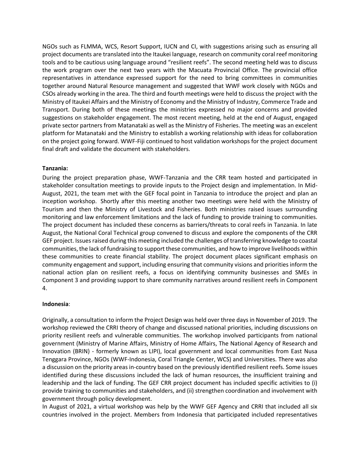NGOs such as FLMMA, WCS, Resort Support, IUCN and CI, with suggestions arising such as ensuring all project documents are translated into the Itaukei language, research on community coral reef monitoring tools and to be cautious using language around "resilient reefs". The second meeting held was to discuss the work program over the next two years with the Macuata Provincial Office. The provincial office representatives in attendance expressed support for the need to bring committees in communities together around Natural Resource management and suggested that WWF work closely with NGOs and CSOs already working in the area. The third and fourth meetings were held to discuss the project with the Ministry of Itaukei Affairs and the Ministry of Economy and the Ministry of Industry, Commerce Trade and Transport. During both of these meetings the ministries expressed no major concerns and provided suggestions on stakeholder engagement. The most recent meeting, held at the end of August, engaged private sector partners from Matanataki as well as the Ministry of Fisheries. The meeting was an excelent platform for Matanataki and the Ministry to establish a working relationship with ideas for collaboration on the project going forward. WWF-Fiji continued to host validation workshops for the project document final draft and validate the document with stakeholders.

## **Tanzania:**

During the project preparation phase, WWF-Tanzania and the CRR team hosted and participated in stakeholder consultation meetings to provide inputs to the Project design and implementation. In Mid-August, 2021, the team met with the GEF focal point in Tanzania to introduce the project and plan an inception workshop. Shortly after this meeting another two meetings were held with the Ministry of Tourism and then the Ministry of Livestock and Fisheries. Both ministries raised issues surrounding monitoring and law enforcement limitations and the lack of funding to provide training to communities. The project document has included these concerns as barriers/threats to coral reefs in Tanzania. In late August, the National Coral Technical group convened to discuss and explore the components of the CRR GEF project. Issues raised during this meeting included the challenges of transferring knowledge to coastal communities, the lack of fundraising to support these communities, and how to improve livelihoods within these communities to create financial stability. The project document places significant emphasis on community engagement and support, including ensuring that community visions and priorities inform the national action plan on resilient reefs, a focus on identifying community businesses and SMEs in Component 3 and providing support to share community narratives around resilient reefs in Component 4.

#### **Indonesia**:

Originally, a consultation to inform the Project Design was held over three days in November of 2019. The workshop reviewed the CRRI theory of change and discussed national priorities, including discussions on priority resilient reefs and vulnerable communities. The workshop involved participants from national government (Ministry of Marine Affairs, Ministry of Home Affairs, The National Agency of Research and Innovation (BRIN) - formerly known as LIPI), local government and local communities from East Nusa Tenggara Province, NGOs (WWF-Indonesia, Coral Triangle Center, WCS) and Universities. There was also a discussion on the priority areas in-country based on the previously identified resilient reefs. Some issues identified during these discussions included the lack of human resources, the insufficient training and leadership and the lack of funding. The GEF CRR project document has included specific activities to (i) provide training to communities and stakeholders, and (ii) strengthen coordination and involvement with government through policy development.

In August of 2021, a virtual workshop was help by the WWF GEF Agency and CRRI that included all six countries involved in the project. Members from Indonesia that participated included representatives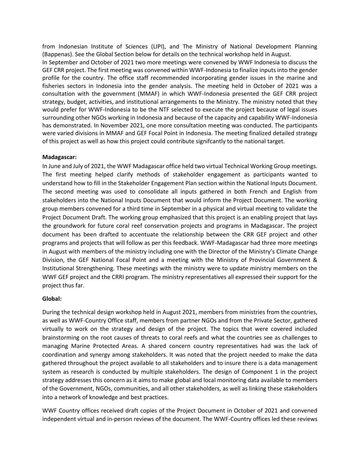from Indonesian Institute of Sciences (LIPI), and The Ministry of National Development Planning (Bappenas). See the Global Section below for details on the technical workshop held in August.

In September and October of 2021 two more meetings were convened by WWF Indonesia to discuss the GEF CRR project. The first meeting was convened within WWF-Indonesia to finalize inputs into the gender profile for the country. The office staff recommended incorporating gender issues in the marine and fisheries sectors in Indonesia into the gender analysis. The meeting held in October of 2021 was a consultation with the government (MMAF) in which WWF-Indonesia presented the GEF CRR project strategy, budget, activities, and institutional arrangements to the Ministry. The ministry noted that they would prefer for WWF-Indonesia to be the NTF selected to execute the project because of legal issues surrounding other NGOs working in Indonesia and because of the capacity and capability WWF-Indonesia has demonstrated. In November 2021, one more consultation meeting was conducted. The participants were varied divisions in MMAF and GEF Focal Point in Indonesia. The meeting finalized detailed strategy of this project as well as how this project could contribute signifcantly to the national target.

#### **Madagascar:**

In June and July of 2021, the WWF Madagascar office held two virtual Technical Working Group meetings. The first meeting helped clarify methods of stakeholder engagement as participants wanted to understand how to fill in the Stakeholder Engagement Plan section within the National Inputs Document. The second meeting was used to consolidate all inputs gathered in both French and English from stakeholders into the National Inputs Document that would inform the Project Document. The working group members convened for a third time in September in a physical and virtual meeting to validate the Project Document Draft. The working group emphasized that this project is an enabling project that lays the groundwork for future coral reef conservation projects and programs in Madagascar. The project document has been drafted to accentuate the relationship between the CRR GEF project and other programs and projects that will follow as per this feedback. WWF-Madagascar had three more meetings in August with members of the ministry including one with the Director of the Ministry's Climate Change Division, the GEF National Focal Point and a meeting with the Ministry of Provincial Government & Institutional Strengthening. These meetings with the ministry were to update ministry members on the WWF GEF project and the CRRI program. The ministry representatives all expressed their support for the project thus far.

#### **Global:**

During the technical design workshop held in August 2021, members from ministries from the countries, as well as WWF-Country Office staff, members from partner NGOs and from the Private Sector, gathered virtually to work on the strategy and design of the project. The topics that were covered included brainstorming on the root causes of threats to coral reefs and what the countries see as challenges to managing Marine Protected Areas. A shared concern country representatives had was the lack of coordination and synergy among stakeholders. It was noted that the project needed to make the data gathered throughout the project available to all stakeholders and to insure there is a data management system as research is conducted by multiple stakeholders. The design of Component 1 in the project strategy addresses this concern as it aims to make global and local monitoring data available to members of the Government, NGOs, communities, and all other stakeholders, as well as linking these stakeholders into a network of knowledge and best practices.

WWF Country offices received draft copies of the Project Document in October of 2021 and convened independent virtual and in-person reviews of the document. The WWF-Country offices led these reviews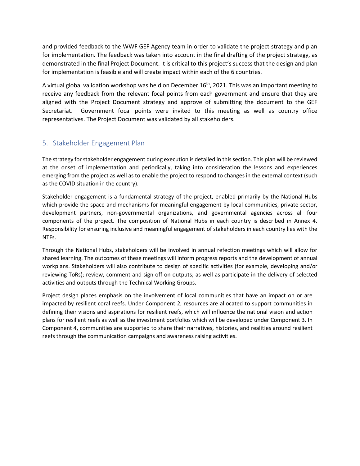and provided feedback to the WWF GEF Agency team in order to validate the project strategy and plan for implementation. The feedback was taken into account in the final drafting of the project strategy, as demonstrated in the final Project Document. It is critical to this project's success that the design and plan for implementation is feasible and will create impact within each of the 6 countries.

A virtual global validation workshop was held on December  $16<sup>th</sup>$ , 2021. This was an important meeting to receive any feedback from the relevant focal points from each government and ensure that they are aligned with the Project Document strategy and approve of submitting the document to the GEF Secretariat. Government focal points were invited to this meeting as well as country office representatives. The Project Document was validated by all stakeholders.

# 5. Stakeholder Engagement Plan

The strategy for stakeholder engagement during execution is detailed in this section. This plan will be reviewed at the onset of implementation and periodically, taking into consideration the lessons and experiences emerging from the project as well as to enable the project to respond to changes in the external context (such as the COVID situation in the country).

Stakeholder engagement is a fundamental strategy of the project, enabled primarily by the National Hubs which provide the space and mechanisms for meaningful engagement by local communities, private sector, development partners, non-governmental organizations, and governmental agencies across all four components of the project. The composition of National Hubs in each country is described in Annex 4. Responsibility for ensuring inclusive and meaningful engagement of stakeholders in each country lies with the NTFs.

Through the National Hubs, stakeholders will be involved in annual refection meetings which will allow for shared learning. The outcomes of these meetings will inform progress reports and the development of annual workplans. Stakeholders will also contribute to design of specific activities (for example, developing and/or reviewing ToRs); review, comment and sign off on outputs; as well as participate in the delivery of selected activities and outputs through the Technical Working Groups.

Project design places emphasis on the involvement of local communities that have an impact on or are impacted by resilient coral reefs. Under Component 2, resources are allocated to support communities in defining their visions and aspirations for resilient reefs, which will influence the national vision and action plans for resilient reefs as well as the investment portfolios which will be developed under Component 3. In Component 4, communities are supported to share their narratives, histories, and realities around resilient reefs through the communication campaigns and awareness raising activities.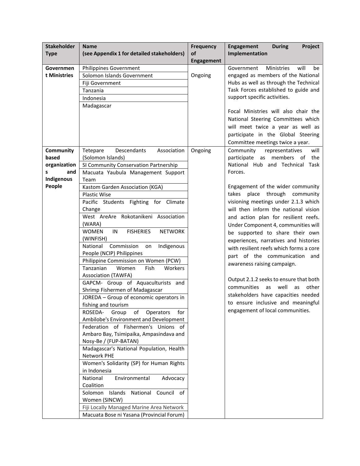| <b>Stakeholder</b><br><b>Type</b> | <b>Name</b><br>(see Appendix 1 for detailed stakeholders)                         | <b>Frequency</b><br>of<br><b>Engagement</b> | <b>During</b><br>Project<br><b>Engagement</b><br>Implementation              |
|-----------------------------------|-----------------------------------------------------------------------------------|---------------------------------------------|------------------------------------------------------------------------------|
| Governmen<br>t Ministries         | Philippines Government<br>Solomon Islands Government                              | Ongoing                                     | Government<br>Ministries<br>will<br>be<br>engaged as members of the National |
|                                   | Fiji Government                                                                   |                                             | Hubs as well as through the Technical                                        |
|                                   | Tanzania                                                                          |                                             | Task Forces established to guide and                                         |
|                                   | Indonesia                                                                         |                                             | support specific activities.                                                 |
|                                   | Madagascar                                                                        |                                             |                                                                              |
|                                   |                                                                                   |                                             | Focal Ministries will also chair the                                         |
|                                   |                                                                                   |                                             | National Steering Committees which                                           |
|                                   |                                                                                   |                                             | will meet twice a year as well as                                            |
|                                   |                                                                                   |                                             | participate in the Global Steering                                           |
|                                   |                                                                                   |                                             | Committee meetings twice a year.                                             |
| Community                         | Descendants<br>Tetepare<br>Association                                            | Ongoing                                     | Community<br>representatives<br>will                                         |
| based                             | (Solomon Islands)                                                                 |                                             | participate as members of<br>the                                             |
| organization                      | SI Community Conservation Partnership                                             |                                             | National Hub and Technical Task                                              |
| and<br>s                          | Macuata Yaubula Management Support                                                |                                             | Forces.                                                                      |
| Indigenous                        | Team                                                                              |                                             |                                                                              |
| People                            | Kastom Garden Association (KGA)                                                   |                                             | Engagement of the wider community                                            |
|                                   | Plastic Wise                                                                      |                                             | takes place through community                                                |
|                                   | Pacific Students Fighting for Climate                                             |                                             | visioning meetings under 2.1.3 which                                         |
|                                   | Change                                                                            |                                             | will then inform the national vision                                         |
|                                   | West AreAre Rokotanikeni Association                                              |                                             | and action plan for resilient reefs.                                         |
|                                   | (WARA)                                                                            |                                             | Under Component 4, communities will                                          |
|                                   | <b>FISHERIES</b><br><b>WOMEN</b><br><b>NETWORK</b><br>IN<br>(WINFISH)             |                                             | be supported to share their own<br>experiences, narratives and histories     |
|                                   | Commission<br>National<br>Indigenous<br>on                                        |                                             | with resilient reefs which forms a core                                      |
|                                   | People (NCIP) Philippines                                                         |                                             | part of the communication and                                                |
|                                   | Philippine Commission on Women (PCW)                                              |                                             | awareness raising campaign.                                                  |
|                                   | Tanzanian<br>Women<br>Workers<br>Fish                                             |                                             |                                                                              |
|                                   | <b>Association (TAWFA)</b>                                                        |                                             | Output 2.1.2 seeks to ensure that both                                       |
|                                   | GAPCM- Group of Aquaculturists and                                                |                                             | communities<br>well<br>as<br>as<br>other                                     |
|                                   | Shrimp Fishermen of Madagascar                                                    |                                             | stakeholders have capacities needed                                          |
|                                   | JOREDA - Group of economic operators in                                           |                                             | to ensure inclusive and meaningful                                           |
|                                   | fishing and tourism                                                               |                                             | engagement of local communities.                                             |
|                                   | ROSEDA-<br>Group<br>of Operators<br>for<br>Ambilobe's Environment and Development |                                             |                                                                              |
|                                   | Federation of Fishermen's Unions of                                               |                                             |                                                                              |
|                                   | Ambaro Bay, Tsimipaika, Ampasindava and                                           |                                             |                                                                              |
|                                   | Nosy-Be / (FUP-BATAN)                                                             |                                             |                                                                              |
|                                   | Madagascar's National Population, Health                                          |                                             |                                                                              |
|                                   | Network PHE                                                                       |                                             |                                                                              |
|                                   | Women's Solidarity (SP) for Human Rights                                          |                                             |                                                                              |
|                                   | in Indonesia                                                                      |                                             |                                                                              |
|                                   | National<br>Environmental<br>Advocacy                                             |                                             |                                                                              |
|                                   | Coalition                                                                         |                                             |                                                                              |
|                                   | Solomon Islands<br>National Council of                                            |                                             |                                                                              |
|                                   | Women (SINCW)                                                                     |                                             |                                                                              |
|                                   | Fiji Locally Managed Marine Area Network                                          |                                             |                                                                              |
|                                   | Macuata Bose ni Yasana (Provincial Forum)                                         |                                             |                                                                              |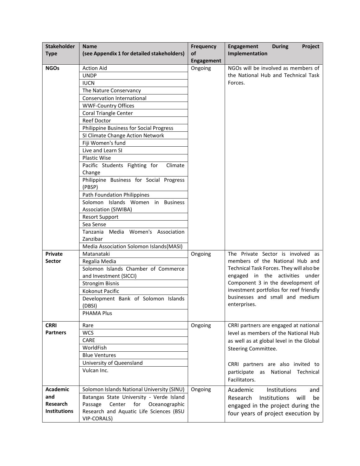| <b>Stakeholder</b><br><b>Type</b> | <b>Name</b><br>(see Appendix 1 for detailed stakeholders) | <b>Frequency</b><br>οf | <b>During</b><br>Project<br><b>Engagement</b><br>Implementation             |
|-----------------------------------|-----------------------------------------------------------|------------------------|-----------------------------------------------------------------------------|
|                                   |                                                           | <b>Engagement</b>      |                                                                             |
| <b>NGOs</b>                       | <b>Action Aid</b>                                         | Ongoing                | NGOs will be involved as members of                                         |
|                                   | <b>UNDP</b>                                               |                        | the National Hub and Technical Task                                         |
|                                   | <b>IUCN</b>                                               |                        | Forces.                                                                     |
|                                   | The Nature Conservancy                                    |                        |                                                                             |
|                                   | Conservation International                                |                        |                                                                             |
|                                   | <b>WWF-Country Offices</b>                                |                        |                                                                             |
|                                   | Coral Triangle Center                                     |                        |                                                                             |
|                                   | <b>Reef Doctor</b>                                        |                        |                                                                             |
|                                   | Philippine Business for Social Progress                   |                        |                                                                             |
|                                   | SI Climate Change Action Network                          |                        |                                                                             |
|                                   | Fiji Women's fund                                         |                        |                                                                             |
|                                   | Live and Learn SI                                         |                        |                                                                             |
|                                   | Plastic Wise                                              |                        |                                                                             |
|                                   | Pacific Students Fighting for<br>Climate                  |                        |                                                                             |
|                                   | Change                                                    |                        |                                                                             |
|                                   | Philippine Business for Social Progress<br>(PBSP)         |                        |                                                                             |
|                                   | Path Foundation Philippines                               |                        |                                                                             |
|                                   | Solomon Islands Women in Business                         |                        |                                                                             |
|                                   | Association (SIWIBA)                                      |                        |                                                                             |
|                                   | <b>Resort Support</b>                                     |                        |                                                                             |
|                                   | Sea Sense                                                 |                        |                                                                             |
|                                   | Tanzania Media Women's Association                        |                        |                                                                             |
|                                   | Zanzibar                                                  |                        |                                                                             |
|                                   | Media Association Solomon Islands (MASI)                  |                        |                                                                             |
| <b>Private</b>                    | Matanataki                                                | Ongoing                | The Private Sector is involved as                                           |
| <b>Sector</b>                     | Regalia Media                                             |                        | members of the National Hub and                                             |
|                                   | Solomon Islands Chamber of Commerce                       |                        | Technical Task Forces. They will also be<br>engaged in the activities under |
|                                   | and Investment (SICCI)                                    |                        | Component 3 in the development of                                           |
|                                   | <b>Strongim Bisnis</b><br>Kokonut Pacific                 |                        | investment portfolios for reef friendly                                     |
|                                   |                                                           |                        | businesses and small and medium                                             |
|                                   | Development Bank of Solomon Islands<br>(DBSI)             |                        | enterprises.                                                                |
|                                   | <b>PHAMA Plus</b>                                         |                        |                                                                             |
|                                   |                                                           |                        |                                                                             |
| <b>CRRI</b>                       | Rare                                                      | Ongoing                | CRRI partners are engaged at national                                       |
| <b>Partners</b>                   | <b>WCS</b>                                                |                        | level as members of the National Hub                                        |
|                                   | CARE                                                      |                        | as well as at global level in the Global                                    |
|                                   | WorldFish                                                 |                        | Steering Committee.                                                         |
|                                   | <b>Blue Ventures</b>                                      |                        |                                                                             |
|                                   | University of Queensland                                  |                        | CRRI partners are also invited to                                           |
|                                   | Vulcan Inc.                                               |                        | participate as National Technical                                           |
|                                   |                                                           |                        | Facilitators.                                                               |
| Academic                          | Solomon Islands National University (SINU)                | Ongoing                | Academic<br>Institutions<br>and                                             |
| and                               | Batangas State University - Verde Island                  |                        | Research<br>Institutions<br>will<br>be                                      |
| Research                          | Center for Oceanographic<br>Passage                       |                        | engaged in the project during the                                           |
| <b>Institutions</b>               | Research and Aquatic Life Sciences (BSU                   |                        | four years of project execution by                                          |
|                                   | VIP-CORALS)                                               |                        |                                                                             |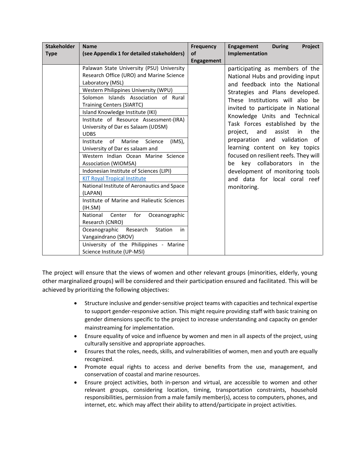| <b>Stakeholder</b><br><b>Type</b> | <b>Name</b><br>(see Appendix 1 for detailed stakeholders)                                                                                                                                                                                                                                                                                                                                                                                                                                                                                                                                                                                                                                                                                                                                                                                                                                                                            | <b>Frequency</b><br><b>of</b><br><b>Engagement</b> | <b>During</b><br>Project<br>Engagement<br>Implementation                                                                                                                                                                                                                                                                                                                                                                                                                                                                                                            |
|-----------------------------------|--------------------------------------------------------------------------------------------------------------------------------------------------------------------------------------------------------------------------------------------------------------------------------------------------------------------------------------------------------------------------------------------------------------------------------------------------------------------------------------------------------------------------------------------------------------------------------------------------------------------------------------------------------------------------------------------------------------------------------------------------------------------------------------------------------------------------------------------------------------------------------------------------------------------------------------|----------------------------------------------------|---------------------------------------------------------------------------------------------------------------------------------------------------------------------------------------------------------------------------------------------------------------------------------------------------------------------------------------------------------------------------------------------------------------------------------------------------------------------------------------------------------------------------------------------------------------------|
|                                   | Palawan State University (PSU) University<br>Research Office (URO) and Marine Science<br>Laboratory (MSL)<br>Western Philippines University (WPU)<br>Solomon Islands Association of Rural<br><b>Training Centers (SIARTC)</b><br>Island Knowledge Institute (IKI)<br>Institute of Resource Assessment-(IRA)<br>University of Dar es Salaam (UDSM)<br><b>UDBS</b><br>Institute of Marine<br>Science<br>$(IMS)$ ,<br>University of Dar es salaam and<br>Western Indian Ocean Marine Science<br>Association (WIOMSA)<br>Indonesian Institute of Sciences (LIPI)<br><b>KIT Royal Tropical Institute</b><br>National Institute of Aeronautics and Space<br>(LAPAN)<br>Institute of Marine and Halieutic Sciences<br>(IH.SM)<br>for<br>National<br>Center<br>Oceanographic<br>Research (CNRO)<br>Oceanographic<br>Research<br>Station<br>in<br>Vangaindrano (SROV)<br>University of the Philippines - Marine<br>Science Institute (UP-MSI) |                                                    | participating as members of the<br>National Hubs and providing input<br>and feedback into the National<br>Strategies and Plans developed.<br>These Institutions will also be<br>invited to participate in National<br>Knowledge Units and Technical<br>Task Forces established by the<br>project, and<br>assist<br>in<br>the<br>preparation and validation of<br>learning content on key topics<br>focused on resilient reefs. They will<br>key collaborators<br>the<br>in<br>be<br>development of monitoring tools<br>and data for local coral reef<br>monitoring. |

The project will ensure that the views of women and other relevant groups (minorities, elderly, young other marginalized groups) will be considered and their participation ensured and facilitated. This will be achieved by prioritizing the following objectives:

- Structure inclusive and gender-sensitive project teams with capacities and technical expertise to support gender-responsive action. This might require providing staff with basic training on gender dimensions specific to the project to increase understanding and capacity on gender mainstreaming for implementation.
- Ensure equality of voice and influence by women and men in all aspects of the project, using culturally sensitive and appropriate approaches.
- Ensures that the roles, needs, skills, and vulnerabilities of women, men and youth are equally recognized.
- Promote equal rights to access and derive benefits from the use, management, and conservation of coastal and marine resources.
- Ensure project activities, both in-person and virtual, are accessible to women and other relevant groups, considering location, timing, transportation constraints, household responsibilities, permission from a male family member(s), access to computers, phones, and internet, etc. which may affect their ability to attend/participate in project activities.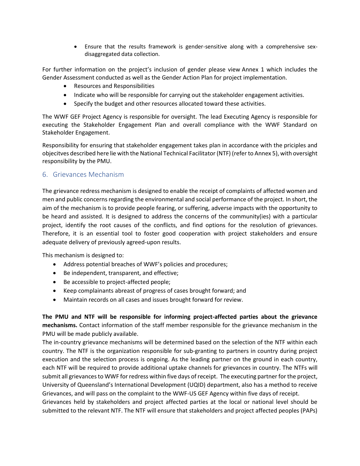• Ensure that the results framework is gender-sensitive along with a comprehensive sexdisaggregated data collection.

For further information on the project's inclusion of gender please view Annex 1 which includes the Gender Assessment conducted as well as the Gender Action Plan for project implementation.

- Resources and Responsibilities
- Indicate who will be responsible for carrying out the stakeholder engagement activities.
- Specify the budget and other resources allocated toward these activities.

The WWF GEF Project Agency is responsible for oversight. The lead Executing Agency is responsible for executing the Stakeholder Engagement Plan and overall compliance with the WWF Standard on Stakeholder Engagement.

Responsibility for ensuring that stakeholder engagement takes plan in accordance with the priciples and objecitves described here lie with the National Technical Facilitator (NTF) (refer to Annex 5), with oversight responsibility by the PMU.

# 6. Grievances Mechanism

The grievance redress mechanism is designed to enable the receipt of complaints of affected women and men and public concerns regarding the environmental and social performance of the project. In short, the aim of the mechanism is to provide people fearing, or suffering, adverse impacts with the opportunity to be heard and assisted. It is designed to address the concerns of the community(ies) with a particular project, identify the root causes of the conflicts, and find options for the resolution of grievances. Therefore, it is an essential tool to foster good cooperation with project stakeholders and ensure adequate delivery of previously agreed-upon results.

This mechanism is designed to:

- Address potential breaches of WWF's policies and procedures;
- Be independent, transparent, and effective;
- Be accessible to project-affected people;
- Keep complainants abreast of progress of cases brought forward; and
- Maintain records on all cases and issues brought forward for review.

**The PMU and NTF will be responsible for informing project-affected parties about the grievance mechanisms.** Contact information of the staff member responsible for the grievance mechanism in the PMU will be made publicly available.

The in-country grievance mechanisms will be determined based on the selection of the NTF within each country. The NTF is the organization responsible for sub-granting to partners in country during project execution and the selection process is ongoing. As the leading partner on the ground in each country, each NTF will be required to provide additional uptake channels for grievances in country. The NTFs will submit all grievances to WWF for redress within five days of receipt. The executing partner for the project, University of Queensland's International Development (UQID) department, also has a method to receive Grievances, and will pass on the complaint to the WWF-US GEF Agency within five days of receipt.

Grievances held by stakeholders and project affected parties at the local or national level should be submitted to the relevant NTF. The NTF will ensure that stakeholders and project affected peoples (PAPs)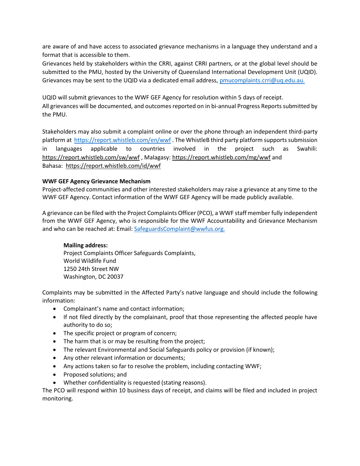are aware of and have access to associated grievance mechanisms in a language they understand and a format that is accessible to them.

Grievances held by stakeholders within the CRRI, against CRRI partners, or at the global level should be submitted to the PMU, hosted by the University of Queensland International Development Unit (UQID). Grievances may be sent to the UQID via a dedicated email address[, pmucomplaints.crri@uq.edu.au.](mailto:pmucomplaints.crri@uq.edu.au)

UQID will submit grievances to the WWF GEF Agency for resolution within 5 days of receipt. All grievances will be documented, and outcomes reported on in bi-annual Progress Reports submitted by the PMU.

Stakeholders may also submit a complaint online or over the phone through an independent third-party platform at<https://report.whistleb.com/en/wwf> . The WhistleB third party platform supports submission in languages applicable to countries involved in the project such as Swahili: <https://report.whistleb.com/sw/wwf> , Malagasy:<https://report.whistleb.com/mg/wwf> and Bahasa: <https://report.whistleb.com/id/wwf>

# **WWF GEF Agency Grievance Mechanism**

Project-affected communities and other interested stakeholders may raise a grievance at any time to the WWF GEF Agency. Contact information of the WWF GEF Agency will be made publicly available.

A grievance can be filed with the Project Complaints Officer (PCO), a WWF staff member fully independent from the WWF GEF Agency, who is responsible for the WWF Accountability and Grievance Mechanism and who can be reached at: Email: [SafeguardsComplaint@wwfus.org.](mailto:SafeguardsComplaint@wwfus.org)

## **Mailing address:**

Project Complaints Officer Safeguards Complaints, World Wildlife Fund 1250 24th Street NW Washington, DC 20037

Complaints may be submitted in the Affected Party's native language and should include the following information:

- Complainant's name and contact information;
- If not filed directly by the complainant, proof that those representing the affected people have authority to do so;
- The specific project or program of concern;
- The harm that is or may be resulting from the project;
- The relevant Environmental and Social Safeguards policy or provision (if known);
- Any other relevant information or documents;
- Any actions taken so far to resolve the problem, including contacting WWF;
- Proposed solutions; and
- Whether confidentiality is requested (stating reasons).

The PCO will respond within 10 business days of receipt, and claims will be filed and included in project monitoring.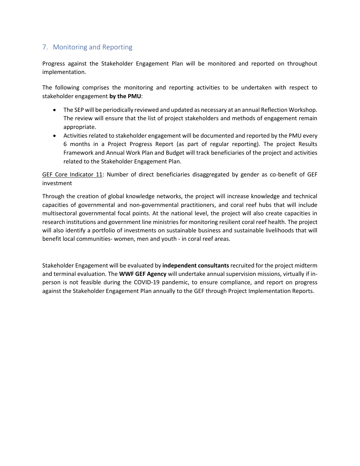# 7. Monitoring and Reporting

Progress against the Stakeholder Engagement Plan will be monitored and reported on throughout implementation.

The following comprises the monitoring and reporting activities to be undertaken with respect to stakeholder engagement **by the PMU**:

- The SEP will be periodically reviewed and updated as necessary at an annual Reflection Workshop. The review will ensure that the list of project stakeholders and methods of engagement remain appropriate.
- Activities related to stakeholder engagement will be documented and reported by the PMU every 6 months in a Project Progress Report (as part of regular reporting). The project Results Framework and Annual Work Plan and Budget will track beneficiaries of the project and activities related to the Stakeholder Engagement Plan.

GEF Core Indicator 11: Number of direct beneficiaries disaggregated by gender as co-benefit of GEF investment

Through the creation of global knowledge networks, the project will increase knowledge and technical capacities of governmental and non-governmental practitioners, and coral reef hubs that will include multisectoral governmental focal points. At the national level, the project will also create capacities in research institutions and government line ministries for monitoring resilient coral reef health. The project will also identify a portfolio of investments on sustainable business and sustainable livelihoods that will benefit local communities- women, men and youth - in coral reef areas.

Stakeholder Engagement will be evaluated by **independent consultants** recruited for the project midterm and terminal evaluation. The **WWF GEF Agency** will undertake annual supervision missions, virtually if inperson is not feasible during the COVID-19 pandemic, to ensure compliance, and report on progress against the Stakeholder Engagement Plan annually to the GEF through Project Implementation Reports.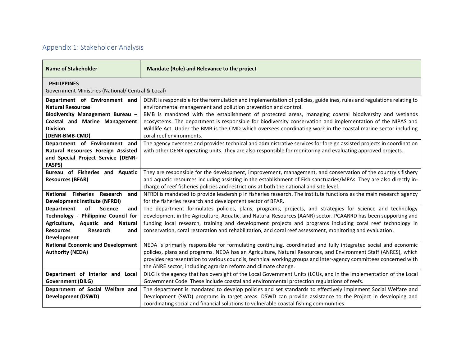# Appendix 1: Stakeholder Analysis

| <b>Name of Stakeholder</b>                        | Mandate (Role) and Relevance to the project                                                                           |
|---------------------------------------------------|-----------------------------------------------------------------------------------------------------------------------|
| <b>PHILIPPINES</b>                                |                                                                                                                       |
| Government Ministries (National/ Central & Local) |                                                                                                                       |
| Department of Environment and                     | DENR is responsible for the formulation and implementation of policies, guidelines, rules and regulations relating to |
| <b>Natural Resources</b>                          | environmental management and pollution prevention and control.                                                        |
| Biodiversity Management Bureau -                  | BMB is mandated with the establishment of protected areas, managing coastal biodiversity and wetlands                 |
| Coastal and Marine Management                     | ecosystems. The department is responsible for biodiversity conservation and implementation of the NIPAS and           |
| <b>Division</b>                                   | Wildlife Act. Under the BMB is the CMD which oversees coordinating work in the coastal marine sector including        |
| (DENR-BMB-CMD)                                    | coral reef environments.                                                                                              |
| Department of Environment and                     | The agency oversees and provides technical and administrative services for foreign assisted projects in coordination  |
| Natural Resources Foreign Assisted                | with other DENR operating units. They are also responsible for monitoring and evaluating approved projects.           |
| and Special Project Service (DENR-                |                                                                                                                       |
| <b>FASPS)</b>                                     |                                                                                                                       |
| Bureau of Fisheries and Aquatic                   | They are responsible for the development, improvement, management, and conservation of the country's fishery          |
| <b>Resources (BFAR)</b>                           | and aquatic resources including assisting in the establishment of Fish sanctuaries/MPAs. They are also directly in-   |
|                                                   | charge of reef fisheries policies and restrictions at both the national and site level.                               |
| National Fisheries Research<br>and                | NFRDI is mandated to provide leadership in fisheries research. The institute functions as the main research agency    |
| <b>Development Institute (NFRDI)</b>              | for the fisheries research and development sector of BFAR.                                                            |
| Department<br>of<br><b>Science</b><br>and         | The department formulates policies, plans, programs, projects, and strategies for Science and technology              |
| Technology - Philippine Council for               | development in the Agriculture, Aquatic, and Natural Resources (AANR) sector. PCAARRD has been supporting and         |
| Agriculture, Aquatic and Natural                  | funding local research, training and development projects and programs including coral reef technology in             |
| <b>Resources</b><br>Research<br>and               | conservation, coral restoration and rehabilitation, and coral reef assessment, monitoring and evaluation.             |
| <b>Development</b>                                |                                                                                                                       |
| <b>National Economic and Development</b>          | NEDA is primarily responsible for formulating continuing, coordinated and fully integrated social and economic        |
| <b>Authority (NEDA)</b>                           | policies, plans and programs. NEDA has an Agriculture, Natural Resources, and Environment Staff (ANRES), which        |
|                                                   | provides representation to various councils, technical working groups and inter-agency committees concerned with      |
|                                                   | the ANRE sector, including agrarian reform and climate change.                                                        |
| Department of Interior and Local                  | DILG is the agency that has oversight of the Local Government Units (LGUs, and in the implementation of the Local     |
| <b>Government (DILG)</b>                          | Government Code. These include coastal and environmental protection regulations of reefs.                             |
| Department of Social Welfare and                  | The department is mandated to develop policies and set standards to effectively implement Social Welfare and          |
| <b>Development (DSWD)</b>                         | Development (SWD) programs in target areas. DSWD can provide assistance to the Project in developing and              |
|                                                   | coordinating social and financial solutions to vulnerable coastal fishing communities.                                |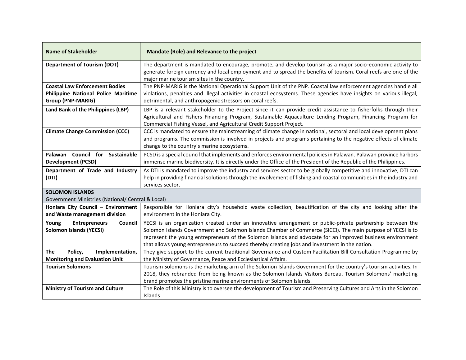| Name of Stakeholder                                                                                      | Mandate (Role) and Relevance to the project                                                                                                                                                                                                                                                                                                                                                                                               |  |
|----------------------------------------------------------------------------------------------------------|-------------------------------------------------------------------------------------------------------------------------------------------------------------------------------------------------------------------------------------------------------------------------------------------------------------------------------------------------------------------------------------------------------------------------------------------|--|
| <b>Department of Tourism (DOT)</b>                                                                       | The department is mandated to encourage, promote, and develop tourism as a major socio-economic activity to<br>generate foreign currency and local employment and to spread the benefits of tourism. Coral reefs are one of the<br>major marine tourism sites in the country.                                                                                                                                                             |  |
| <b>Coastal Law Enforcement Bodies</b><br><b>Philippine National Police Maritime</b><br>Group (PNP-MARIG) | The PNP-MARIG is the National Operational Support Unit of the PNP. Coastal law enforcement agencies handle all<br>violations, penalties and illegal activities in coastal ecosystems. These agencies have insights on various illegal,<br>detrimental, and anthropogenic stressors on coral reefs.                                                                                                                                        |  |
| Land Bank of the Philippines (LBP)                                                                       | LBP is a relevant stakeholder to the Project since it can provide credit assistance to fisherfolks through their<br>Agricultural and Fishers Financing Program, Sustainable Aquaculture Lending Program, Financing Program for<br>Commercial Fishing Vessel, and Agricultural Credit Support Project.                                                                                                                                     |  |
| <b>Climate Change Commission (CCC)</b>                                                                   | CCC is mandated to ensure the mainstreaming of climate change in national, sectoral and local development plans<br>and programs. The commission is involved in projects and programs pertaining to the negative effects of climate<br>change to the country's marine ecosystems.                                                                                                                                                          |  |
| Palawan Council for Sustainable<br><b>Development (PCSD)</b>                                             | PCSD is a special council that implements and enforces environmental policies in Palawan. Palawan province harbors<br>immense marine biodiversity. It is directly under the Office of the President of the Republic of the Philippines.                                                                                                                                                                                                   |  |
| Department of Trade and Industry<br>(DTI)                                                                | As DTI is mandated to improve the industry and services sector to be globally competitive and innovative, DTI can<br>help in providing financial solutions through the involvement of fishing and coastal communities in the industry and<br>services sector.                                                                                                                                                                             |  |
| <b>SOLOMON ISLANDS</b><br>Government Ministries (National/ Central & Local)                              |                                                                                                                                                                                                                                                                                                                                                                                                                                           |  |
| Honiara City Council - Environment<br>and Waste management division                                      | Responsible for Honiara city's household waste collection, beautification of the city and looking after the<br>environment in the Honiara City.                                                                                                                                                                                                                                                                                           |  |
| <b>Entrepreneurs</b><br>Young<br>Council<br><b>Solomon Islands (YECSI)</b>                               | YECSI is an organization created under an innovative arrangement or public-private partnership between the<br>Solomon Islands Government and Solomon Islands Chamber of Commerce (SICCI). The main purpose of YECSI is to<br>represent the young entrepreneurs of the Solomon Islands and advocate for an improved business environment<br>that allows young entrepreneurs to succeed thereby creating jobs and investment in the nation. |  |
| Policy,<br>Implementation,<br><b>The</b><br><b>Monitoring and Evaluation Unit</b>                        | They give support to the current traditional Governance and Custom Facilitation Bill Consultation Programme by<br>the Ministry of Governance, Peace and Ecclesiastical Affairs.                                                                                                                                                                                                                                                           |  |
| <b>Tourism Solomons</b>                                                                                  | Tourism Solomons is the marketing arm of the Solomon Islands Government for the country's tourism activities. In<br>2018, they rebranded from being known as the Solomon Islands Visitors Bureau. Tourism Solomons' marketing<br>brand promotes the pristine marine environments of Solomon Islands.                                                                                                                                      |  |
| <b>Ministry of Tourism and Culture</b>                                                                   | The Role of this Ministry is to oversee the development of Tourism and Preserving Cultures and Arts in the Solomon<br>Islands                                                                                                                                                                                                                                                                                                             |  |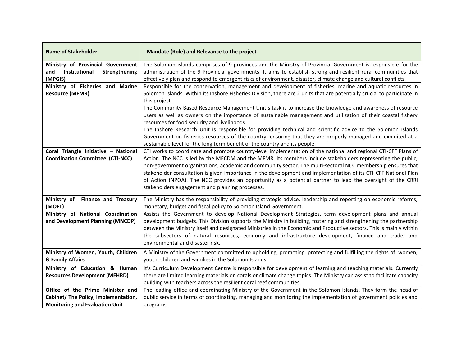| <b>Name of Stakeholder</b>              | Mandate (Role) and Relevance to the project                                                                              |
|-----------------------------------------|--------------------------------------------------------------------------------------------------------------------------|
| Ministry of Provincial Government       | The Solomon islands comprises of 9 provinces and the Ministry of Provincial Government is responsible for the            |
| Institutional<br>Strengthening<br>and   | administration of the 9 Provincial governments. It aims to establish strong and resilient rural communities that         |
| (MPGIS)                                 | effectively plan and respond to emergent risks of environment, disaster, climate change and cultural conflicts.          |
| Ministry of Fisheries and Marine        | Responsible for the conservation, management and development of fisheries, marine and aquatic resources in               |
| <b>Resource (MFMR)</b>                  | Solomon Islands. Within its Inshore Fisheries Division, there are 2 units that are potentially crucial to participate in |
|                                         | this project.                                                                                                            |
|                                         | The Community Based Resource Management Unit's task is to increase the knowledge and awareness of resource               |
|                                         | users as well as owners on the importance of sustainable management and utilization of their coastal fishery             |
|                                         | resources for food security and livelihoods                                                                              |
|                                         | The Inshore Research Unit is responsible for providing technical and scientific advice to the Solomon Islands            |
|                                         | Government on fisheries resources of the country, ensuring that they are properly managed and exploited at a             |
|                                         | sustainable level for the long term benefit of the country and its people.                                               |
| Coral Triangle Initiative - National    | CTI works to coordinate and promote country-level implementation of the national and regional CTI-CFF Plans of           |
| <b>Coordination Committee (CTI-NCC)</b> | Action. The NCC is led by the MECDM and the MFMR. Its members include stakeholders representing the public,              |
|                                         | non-government organizations, academic and community sector. The multi-sectoral NCC membership ensures that              |
|                                         | stakeholder consultation is given importance in the development and implementation of its CTI-CFF National Plan          |
|                                         | of Action (NPOA). The NCC provides an opportunity as a potential partner to lead the oversight of the CRRI               |
|                                         | stakeholders engagement and planning processes.                                                                          |
| Ministry of Finance and Treasury        | The Ministry has the responsibility of providing strategic advice, leadership and reporting on economic reforms,         |
| (MOFT)                                  | monetary, budget and fiscal policy to Solomon Island Government.                                                         |
| Ministry of National Coordination       | Assists the Government to develop National Development Strategies, term development plans and annual                     |
| and Development Planning (MNCDP)        | development budgets. This Division supports the Ministry in building, fostering and strengthening the partnership        |
|                                         | between the Ministry itself and designated Ministries in the Economic and Productive sectors. This is mainly within      |
|                                         | the subsectors of natural resources, economy and infrastructure development, finance and trade, and                      |
|                                         | environmental and disaster risk.                                                                                         |
| Ministry of Women, Youth, Children      | A Ministry of the Government committed to upholding, promoting, protecting and fulfilling the rights of women,           |
| & Family Affairs                        | youth, children and Families in the Solomon Islands                                                                      |
| Ministry of Education & Human           | It's Curriculum Development Centre is responsible for development of learning and teaching materials. Currently          |
| <b>Resources Development (MEHRD)</b>    | there are limited learning materials on corals or climate change topics. The Ministry can assist to facilitate capacity  |
|                                         | building with teachers across the resilient coral reef communities.                                                      |
| Office of the Prime Minister and        | The leading office and coordinating Ministry of the Government in the Solomon Islands. They form the head of             |
| Cabinet/ The Policy, Implementation,    | public service in terms of coordinating, managing and monitoring the implementation of government policies and           |
| <b>Monitoring and Evaluation Unit</b>   | programs.                                                                                                                |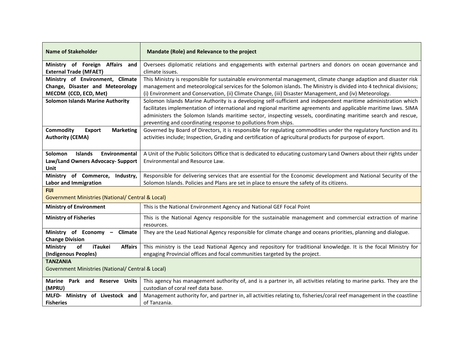| <b>Name of Stakeholder</b>                                   | Mandate (Role) and Relevance to the project                                                                            |
|--------------------------------------------------------------|------------------------------------------------------------------------------------------------------------------------|
| Ministry of Foreign Affairs and                              | Oversees diplomatic relations and engagements with external partners and donors on ocean governance and                |
| <b>External Trade (MFAET)</b>                                | climate issues.                                                                                                        |
| Ministry of Environment, Climate                             | This Ministry is responsible for sustainable environmental management, climate change adaption and disaster risk       |
| Change, Disaster and Meteorology                             | management and meteorological services for the Solomon islands. The Ministry is divided into 4 technical divisions;    |
| MECDM (CCD, ECD, Met)                                        | (i) Environment and Conservation, (ii) Climate Change, (iii) Disaster Management, and (iv) Meteorology.                |
| <b>Solomon Islands Marine Authority</b>                      | Solomon Islands Marine Authority is a developing self-sufficient and independent maritime administration which         |
|                                                              | facilitates implementation of international and regional maritime agreements and applicable maritime laws. SIMA        |
|                                                              | administers the Solomon Islands maritime sector, inspecting vessels, coordinating maritime search and rescue,          |
|                                                              | preventing and coordinating response to pollutions from ships.                                                         |
| <b>Commodity</b><br><b>Marketing</b><br>Export               | Governed by Board of Directors, it is responsible for regulating commodities under the regulatory function and its     |
| <b>Authority (CEMA)</b>                                      | activities include; Inspection, Grading and certification of agricultural products for purpose of export.              |
|                                                              |                                                                                                                        |
| Solomon<br><b>Islands</b><br><b>Environmental</b>            | A Unit of the Public Solicitors Office that is dedicated to educating customary Land Owners about their rights under   |
| Law/Land Owners Advocacy- Support                            | Environmental and Resource Law.                                                                                        |
| Unit                                                         |                                                                                                                        |
| Ministry of Commerce,<br>Industry,                           | Responsible for delivering services that are essential for the Economic development and National Security of the       |
| <b>Labor and Immigration</b>                                 | Solomon Islands. Policies and Plans are set in place to ensure the safety of its citizens.                             |
| <b>FIJI</b>                                                  |                                                                                                                        |
| <b>Government Ministries (National/ Central &amp; Local)</b> |                                                                                                                        |
| <b>Ministry of Environment</b>                               | This is the National Environment Agency and National GEF Focal Point                                                   |
| <b>Ministry of Fisheries</b>                                 | This is the National Agency responsible for the sustainable management and commercial extraction of marine             |
|                                                              | resources.                                                                                                             |
| Ministry of Economy - Climate                                | They are the Lead National Agency responsible for climate change and oceans priorities, planning and dialogue.         |
| <b>Change Division</b>                                       |                                                                                                                        |
| <b>iTaukei</b><br><b>Affairs</b><br><b>Ministry</b><br>of    | This ministry is the Lead National Agency and repository for traditional knowledge. It is the focal Ministry for       |
| (Indigenous Peoples)                                         | engaging Provincial offices and focal communities targeted by the project.                                             |
| <b>TANZANIA</b>                                              |                                                                                                                        |
| <b>Government Ministries (National/ Central &amp; Local)</b> |                                                                                                                        |
| Marine Park and Reserve Units                                | This agency has management authority of, and is a partner in, all activities relating to marine parks. They are the    |
| (MPRU)                                                       | custodian of coral reef data base.                                                                                     |
| MLFD- Ministry of Livestock and                              | Management authority for, and partner in, all activities relating to, fisheries/coral reef management in the coastline |
| <b>Fisheries</b>                                             | of Tanzania.                                                                                                           |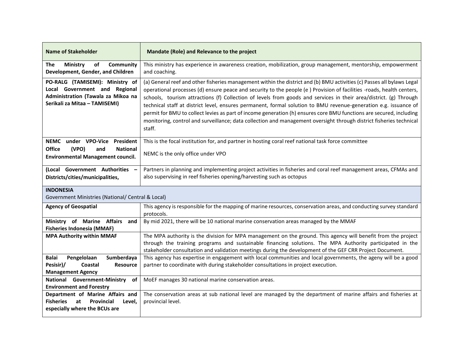| Name of Stakeholder                                                                                                                     | Mandate (Role) and Relevance to the project                                                                                                                                                                                                                                                                                                                                                                                                                                                                                                                                                                                                                                                                                                       |
|-----------------------------------------------------------------------------------------------------------------------------------------|---------------------------------------------------------------------------------------------------------------------------------------------------------------------------------------------------------------------------------------------------------------------------------------------------------------------------------------------------------------------------------------------------------------------------------------------------------------------------------------------------------------------------------------------------------------------------------------------------------------------------------------------------------------------------------------------------------------------------------------------------|
| of<br>Ministry<br>Community<br><b>The</b><br>Development, Gender, and Children                                                          | This ministry has experience in awareness creation, mobilization, group management, mentorship, empowerment<br>and coaching.                                                                                                                                                                                                                                                                                                                                                                                                                                                                                                                                                                                                                      |
| PO-RALG (TAMISEMI): Ministry of<br>Local Government and Regional<br>Administration (Tawala za Mikoa na<br>Serikali za Mitaa - TAMISEMI) | (a) General reef and other fisheries management within the district and (b) BMU activities (c) Passes all bylaws Legal<br>operational processes (d) ensure peace and security to the people (e ) Provision of facilities -roads, health centers,<br>schools, tourism attractions (f) Collection of levels from goods and services in their area/district. (g) Through<br>technical staff at district level, ensures permanent, formal solution to BMU revenue-generation e.g. issuance of<br>permit for BMU to collect levies as part of income generation (h) ensures core BMU functions are secured, including<br>monitoring, control and surveillance; data collection and management oversight through district fisheries technical<br>staff. |
| NEMC under VPO-Vice President<br><b>Office</b><br>(VPO)<br><b>National</b><br>and<br><b>Environmental Management council.</b>           | This is the focal institution for, and partner in hosting coral reef national task force committee<br>NEMC is the only office under VPO                                                                                                                                                                                                                                                                                                                                                                                                                                                                                                                                                                                                           |
| (Local Government Authorities -<br>Districts/cities/municipalities,                                                                     | Partners in planning and implementing project activities in fisheries and coral reef management areas, CFMAs and<br>also supervising in reef fisheries opening/harvesting such as octopus                                                                                                                                                                                                                                                                                                                                                                                                                                                                                                                                                         |
| <b>INDONESIA</b><br>Government Ministries (National/ Central & Local)                                                                   |                                                                                                                                                                                                                                                                                                                                                                                                                                                                                                                                                                                                                                                                                                                                                   |
| <b>Agency of Geospatial</b>                                                                                                             | This agency is responsible for the mapping of marine resources, conservation areas, and conducting survey standard<br>protocols.                                                                                                                                                                                                                                                                                                                                                                                                                                                                                                                                                                                                                  |
| Ministry of Marine Affairs<br>and<br><b>Fisheries Indonesia (MMAF)</b>                                                                  | By mid 2021, there will be 10 national marine conservation areas managed by the MMAF                                                                                                                                                                                                                                                                                                                                                                                                                                                                                                                                                                                                                                                              |
| <b>MPA Authority within MMAF</b>                                                                                                        | The MPA authority is the division for MPA management on the ground. This agency will benefit from the project<br>through the training programs and sustainable financing solutions. The MPA Authority participated in the<br>stakeholder consultation and validation meetings during the development of the GEF CRR Project Document.                                                                                                                                                                                                                                                                                                                                                                                                             |
| Pengelolaan<br>Sumberdaya<br><b>Balai</b><br>Pesisir)/<br>Coastal<br><b>Resource</b><br><b>Management Agency</b>                        | This agency has expertise in engagement with local communities and local governments, the ageny will be a good<br>partner to coordinate with during stakeholder consultations in project execution.                                                                                                                                                                                                                                                                                                                                                                                                                                                                                                                                               |
| <b>National Government-Ministry</b><br>of<br><b>Environment and Forestry</b>                                                            | MoEF manages 30 national marine conservation areas.                                                                                                                                                                                                                                                                                                                                                                                                                                                                                                                                                                                                                                                                                               |
| Department of Marine Affairs and<br><b>Fisheries</b><br><b>Provincial</b><br>at<br>Level,<br>especially where the BCUs are              | The conservation areas at sub national level are managed by the department of marine affairs and fisheries at<br>provincial level.                                                                                                                                                                                                                                                                                                                                                                                                                                                                                                                                                                                                                |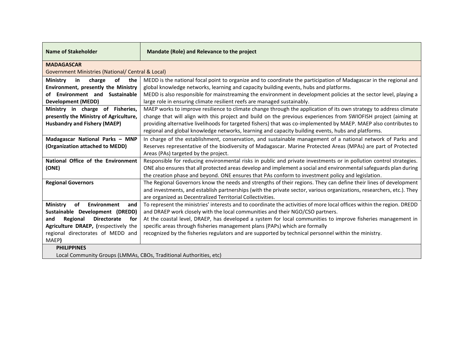| <b>Name of Stakeholder</b>                                         | Mandate (Role) and Relevance to the project                                                                            |  |
|--------------------------------------------------------------------|------------------------------------------------------------------------------------------------------------------------|--|
| <b>MADAGASCAR</b>                                                  |                                                                                                                        |  |
| <b>Government Ministries (National/ Central &amp; Local)</b>       |                                                                                                                        |  |
| charge<br>of<br><b>Ministry</b><br>in<br>the                       | MEDD is the national focal point to organize and to coordinate the participation of Madagascar in the regional and     |  |
| Environment, presently the Ministry                                | global knowledge networks, learning and capacity building events, hubs and platforms.                                  |  |
| of Environment and Sustainable                                     | MEDD is also responsible for mainstreaming the environment in development policies at the sector level, playing a      |  |
| <b>Development (MEDD)</b>                                          | large role in ensuring climate resilient reefs are managed sustainably.                                                |  |
| Ministry in charge of Fisheries,                                   | MAEP works to improve resilience to climate change through the application of its own strategy to address climate      |  |
| presently the Ministry of Agriculture,                             | change that will align with this project and build on the previous experiences from SWIOFISH project (aiming at        |  |
| <b>Husbandry and Fishery (MAEP)</b>                                | providing alternative livelihoods for targeted fishers) that was co-implemented by MAEP. MAEP also contributes to      |  |
|                                                                    | regional and global knowledge networks, learning and capacity building events, hubs and platforms.                     |  |
| Madagascar National Parks - MNP                                    | In charge of the establishment, conservation, and sustainable management of a national network of Parks and            |  |
| (Organization attached to MEDD)                                    | Reserves representative of the biodiversity of Madagascar. Marine Protected Areas (MPAs) are part of Protected         |  |
|                                                                    | Areas (PAs) targeted by the project.                                                                                   |  |
| National Office of the Environment                                 | Responsible for reducing environmental risks in public and private investments or in pollution control strategies.     |  |
| (ONE)                                                              | ONE also ensures that all protected areas develop and implement a social and environmental safeguards plan during      |  |
|                                                                    | the creation phase and beyond. ONE ensures that PAs conform to investment policy and legislation.                      |  |
| <b>Regional Governors</b>                                          | The Regional Governors know the needs and strengths of their regions. They can define their lines of development       |  |
|                                                                    | and investments, and establish partnerships (with the private sector, various organizations, researchers, etc.). They  |  |
|                                                                    | are organized as Decentralized Territorial Collectivities.                                                             |  |
| <b>Environment</b><br><b>Ministry</b><br>of<br>and                 | To represent the ministries' interests and to coordinate the activities of more local offices within the region. DREDD |  |
| Sustainable Development (DREDD)                                    | and DRAEP work closely with the local communities and their NGO/CSO partners.                                          |  |
| <b>Directorate</b><br>Regional<br>and<br>for                       | At the coastal level, DRAEP, has developed a system for local communities to improve fisheries management in           |  |
| Agriculture DRAEP, (respectively the                               | specific areas through fisheries management plans (PAPs) which are formally                                            |  |
| regional directorates of MEDD and                                  | recognized by the fisheries regulators and are supported by technical personnel within the ministry.                   |  |
| MAEP)                                                              |                                                                                                                        |  |
| <b>PHILIPPINES</b>                                                 |                                                                                                                        |  |
| Local Community Groups (LMMAs, CBOs, Traditional Authorities, etc) |                                                                                                                        |  |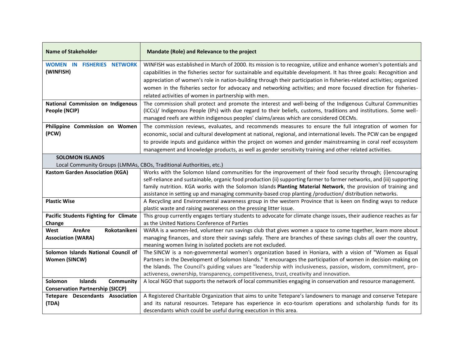| <b>Name of Stakeholder</b>                                          | Mandate (Role) and Relevance to the project                                                                                                                                                             |
|---------------------------------------------------------------------|---------------------------------------------------------------------------------------------------------------------------------------------------------------------------------------------------------|
| WOMEN IN FISHERIES NETWORK                                          | WINFISH was established in March of 2000. Its mission is to recognize, utilize and enhance women's potentials and                                                                                       |
| (WINFISH)                                                           | capabilities in the fisheries sector for sustainable and equitable development. It has three goals: Recognition and                                                                                     |
|                                                                     | appreciation of women's role in nation-building through their participation in fisheries-related activities; organized                                                                                  |
|                                                                     | women in the fisheries sector for advocacy and networking activities; and more focused direction for fisheries-                                                                                         |
|                                                                     | related activities of women in partnership with men.                                                                                                                                                    |
| National Commission on Indigenous                                   | The commission shall protect and promote the interest and well-being of the Indigenous Cultural Communities                                                                                             |
| People (NCIP)                                                       | (ICCs)/ Indigenous People (IPs) with due regard to their beliefs, customs, traditions and institutions. Some well-                                                                                      |
|                                                                     | managed reefs are within indigenous peoples' claims/areas which are considered OECMs.                                                                                                                   |
| Philippine Commission on Women                                      | The commission reviews, evaluates, and recommends measures to ensure the full integration of women for                                                                                                  |
| (PCW)                                                               | economic, social and cultural development at national, regional, and international levels. The PCW can be engaged                                                                                       |
|                                                                     | to provide inputs and guidance within the project on women and gender mainstreaming in coral reef ecosystem                                                                                             |
|                                                                     | management and knowledge products, as well as gender sensitivity training and other related activities.                                                                                                 |
| <b>SOLOMON ISLANDS</b>                                              |                                                                                                                                                                                                         |
| Local Community Groups (LMMAs, CBOs, Traditional Authorities, etc.) |                                                                                                                                                                                                         |
| <b>Kastom Garden Association (KGA)</b>                              | Works with the Solomon Island communities for the improvement of their food security through; (i)encouraging                                                                                            |
|                                                                     | self-reliance and sustainable, organic food production (ii) supporting farmer to farmer networks, and (iii) supporting                                                                                  |
|                                                                     | family nutrition. KGA works with the Solomon Islands Planting Material Network, the provision of training and                                                                                           |
| <b>Plastic Wise</b>                                                 | assistance in setting up and managing community-based crop planting /production/ distribution networks.                                                                                                 |
|                                                                     | A Recycling and Environmental awareness group in the western Province that is keen on finding ways to reduce<br>plastic waste and raising awareness on the pressing litter issue.                       |
| Pacific Students Fighting for Climate                               | This group currently engages tertiary students to advocate for climate change issues, their audience reaches as far                                                                                     |
| Change                                                              | as the United Nations Conference of Parties                                                                                                                                                             |
| Rokotanikeni<br>West<br><b>AreAre</b>                               | WARA is a women-led, volunteer run savings club that gives women a space to come together, learn more about                                                                                             |
| <b>Association (WARA)</b>                                           | managing finances, and store their savings safely. There are branches of these savings clubs all over the country,                                                                                      |
|                                                                     | meaning women living in isolated pockets are not excluded.                                                                                                                                              |
| Solomon Islands National Council of                                 | The SINCW is a non-governmental women's organization based in Honiara, with a vision of "Women as Equal                                                                                                 |
| Women (SINCW)                                                       | Partners in the Development of Solomon Islands." It encourages the participation of women in decision-making on                                                                                         |
|                                                                     | the Islands. The Council's guiding values are "leadership with inclusiveness, passion, wisdom, commitment, pro-                                                                                         |
| <b>Islands</b><br>Solomon<br>Community                              | activeness, ownership, transparency, competitiveness, trust, creativity and innovation.<br>A local NGO that supports the network of local communities engaging in conservation and resource management. |
| <b>Conservation Partnership (SICCP)</b>                             |                                                                                                                                                                                                         |
| <b>Tetepare Descendants Association</b>                             | A Registered Charitable Organization that aims to unite Tetepare's landowners to manage and conserve Tetepare                                                                                           |
| (TDA)                                                               | and its natural resources. Tetepare has experience in eco-tourism operations and scholarship funds for its                                                                                              |
|                                                                     | descendants which could be useful during execution in this area.                                                                                                                                        |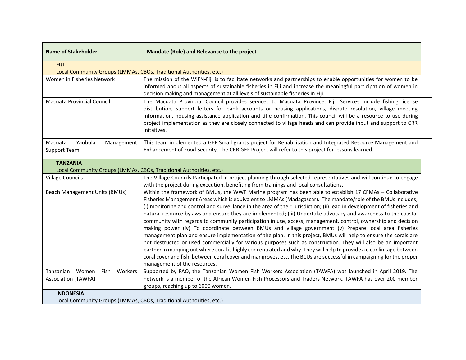| <b>Name of Stakeholder</b>                                          | Mandate (Role) and Relevance to the project                                                                                                                                                                                                                                                                                                                                                                                                                                                                                                                                                                                                                                                                                                                                                                                                                                                                                                                                                                                                                                                                                                                                                                        |  |
|---------------------------------------------------------------------|--------------------------------------------------------------------------------------------------------------------------------------------------------------------------------------------------------------------------------------------------------------------------------------------------------------------------------------------------------------------------------------------------------------------------------------------------------------------------------------------------------------------------------------------------------------------------------------------------------------------------------------------------------------------------------------------------------------------------------------------------------------------------------------------------------------------------------------------------------------------------------------------------------------------------------------------------------------------------------------------------------------------------------------------------------------------------------------------------------------------------------------------------------------------------------------------------------------------|--|
| <b>FIJI</b>                                                         |                                                                                                                                                                                                                                                                                                                                                                                                                                                                                                                                                                                                                                                                                                                                                                                                                                                                                                                                                                                                                                                                                                                                                                                                                    |  |
| Local Community Groups (LMMAs, CBOs, Traditional Authorities, etc.) |                                                                                                                                                                                                                                                                                                                                                                                                                                                                                                                                                                                                                                                                                                                                                                                                                                                                                                                                                                                                                                                                                                                                                                                                                    |  |
| Women in Fisheries Network                                          | The mission of the WiFN-Fiji is to facilitate networks and partnerships to enable opportunities for women to be<br>informed about all aspects of sustainable fisheries in Fiji and increase the meaningful participation of women in<br>decision making and management at all levels of sustainable fisheries in Fiji.                                                                                                                                                                                                                                                                                                                                                                                                                                                                                                                                                                                                                                                                                                                                                                                                                                                                                             |  |
| Macuata Provincial Council                                          | The Macuata Provincial Council provides services to Macuata Province, Fiji. Services include fishing license<br>distribution, support letters for bank accounts or housing applications, dispute resolution, village meeting<br>information, housing assistance application and title confirmation. This council will be a resource to use during<br>project implementation as they are closely connected to village heads and can provide input and support to CRR<br>initaitves.                                                                                                                                                                                                                                                                                                                                                                                                                                                                                                                                                                                                                                                                                                                                 |  |
| Yaubula<br>Macuata<br>Management<br><b>Support Team</b>             | This team implemented a GEF Small grants project for Rehabilitation and Integrated Resource Management and<br>Enhancement of Food Security. The CRR GEF Project will refer to this project for lessons learned.                                                                                                                                                                                                                                                                                                                                                                                                                                                                                                                                                                                                                                                                                                                                                                                                                                                                                                                                                                                                    |  |
| <b>TANZANIA</b>                                                     |                                                                                                                                                                                                                                                                                                                                                                                                                                                                                                                                                                                                                                                                                                                                                                                                                                                                                                                                                                                                                                                                                                                                                                                                                    |  |
| Local Community Groups (LMMAs, CBOs, Traditional Authorities, etc.) |                                                                                                                                                                                                                                                                                                                                                                                                                                                                                                                                                                                                                                                                                                                                                                                                                                                                                                                                                                                                                                                                                                                                                                                                                    |  |
| <b>Village Councils</b>                                             | The Village Councils Participated in project planning through selected representatives and will continue to engage<br>with the project during execution, benefiting from trainings and local consultations.                                                                                                                                                                                                                                                                                                                                                                                                                                                                                                                                                                                                                                                                                                                                                                                                                                                                                                                                                                                                        |  |
| Beach Management Units (BMUs)                                       | Within the framework of BMUs, the WWF Marine program has been able to establish 17 CFMAs - Collaborative<br>Fisheries Management Areas which is equivalent to LMMAs (Madagascar). The mandate/role of the BMUs includes;<br>(i) monitoring and control and surveillance in the area of their jurisdiction; (ii) lead in development of fisheries and<br>natural resource bylaws and ensure they are implemented; (iii) Undertake advocacy and awareness to the coastal<br>community with regards to community participation in use, access, management, control, ownership and decision<br>making power (iv) To coordinate between BMUs and village government (v) Prepare local area fisheries<br>management plan and ensure implementation of the plan. In this project, BMUs will help to ensure the corals are<br>not destructed or used commercially for various purposes such as construction. They will also be an important<br>partner in mapping out where coral is highly concentrated and why. They will help to provide a clear linkage between<br>coral cover and fish, between coral cover and mangroves, etc. The BCUs are successful in campaigning for the proper<br>management of the resources. |  |
| Tanzanian Women<br>Fish<br>Workers                                  | Supported by FAO, the Tanzanian Women Fish Workers Association (TAWFA) was launched in April 2019. The                                                                                                                                                                                                                                                                                                                                                                                                                                                                                                                                                                                                                                                                                                                                                                                                                                                                                                                                                                                                                                                                                                             |  |
| <b>Association (TAWFA)</b>                                          | network is a member of the African Women Fish Processors and Traders Network. TAWFA has over 200 member<br>groups, reaching up to 6000 women.                                                                                                                                                                                                                                                                                                                                                                                                                                                                                                                                                                                                                                                                                                                                                                                                                                                                                                                                                                                                                                                                      |  |
| <b>INDONESIA</b>                                                    |                                                                                                                                                                                                                                                                                                                                                                                                                                                                                                                                                                                                                                                                                                                                                                                                                                                                                                                                                                                                                                                                                                                                                                                                                    |  |
| Local Community Groups (LMMAs, CBOs, Traditional Authorities, etc.) |                                                                                                                                                                                                                                                                                                                                                                                                                                                                                                                                                                                                                                                                                                                                                                                                                                                                                                                                                                                                                                                                                                                                                                                                                    |  |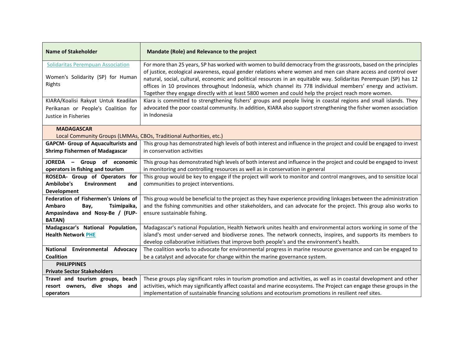| <b>Name of Stakeholder</b>                                                    | Mandate (Role) and Relevance to the project                                                                                                                                                                                                                                                                                               |  |
|-------------------------------------------------------------------------------|-------------------------------------------------------------------------------------------------------------------------------------------------------------------------------------------------------------------------------------------------------------------------------------------------------------------------------------------|--|
| <b>Solidaritas Perempuan Association</b><br>Women's Solidarity (SP) for Human | For more than 25 years, SP has worked with women to build democracy from the grassroots, based on the principles<br>of justice, ecological awareness, equal gender relations where women and men can share access and control over                                                                                                        |  |
| Rights                                                                        | natural, social, cultural, economic and political resources in an equitable way. Solidaritas Perempuan (SP) has 12<br>offices in 10 provinces throughout Indonesia, which channel its 778 individual members' energy and activism.<br>Together they engage directly with at least 5800 women and could help the project reach more women. |  |
| KIARA/Koalisi Rakyat Untuk Keadilan                                           | Kiara is committed to strengthening fishers' groups and people living in coastal regions and small islands. They                                                                                                                                                                                                                          |  |
| Perikanan or People's Coalition for                                           | advocated the poor coastal community. In addition, KIARA also support strengthening the fisher women association                                                                                                                                                                                                                          |  |
| Justice in Fisheries                                                          | in Indonesia                                                                                                                                                                                                                                                                                                                              |  |
| <b>MADAGASCAR</b>                                                             |                                                                                                                                                                                                                                                                                                                                           |  |
| Local Community Groups (LMMAs, CBOs, Traditional Authorities, etc.)           |                                                                                                                                                                                                                                                                                                                                           |  |
| <b>GAPCM- Group of Aquaculturists and</b>                                     | This group has demonstrated high levels of both interest and influence in the project and could be engaged to invest                                                                                                                                                                                                                      |  |
| <b>Shrimp Fishermen of Madagascar</b>                                         | in conservation activities                                                                                                                                                                                                                                                                                                                |  |
| JOREDA - Group of economic                                                    | This group has demonstrated high levels of both interest and influence in the project and could be engaged to invest                                                                                                                                                                                                                      |  |
| operators in fishing and tourism                                              | in monitoring and controlling resources as well as in conservation in general                                                                                                                                                                                                                                                             |  |
| ROSEDA- Group of Operators for                                                | This group would be key to engage if the project will work to monitor and control mangroves, and to sensitize local                                                                                                                                                                                                                       |  |
| Ambilobe's<br><b>Environment</b><br>and                                       | communities to project interventions.                                                                                                                                                                                                                                                                                                     |  |
| <b>Development</b><br>Federation of Fishermen's Unions of                     | This group would be beneficial to the project as they have experience providing linkages between the administration                                                                                                                                                                                                                       |  |
| <b>Ambaro</b><br>Tsimipaika,<br>Bay,                                          | and the fishing communities and other stakeholders, and can advocate for the project. This group also works to                                                                                                                                                                                                                            |  |
| Ampasindava and Nosy-Be / (FUP-                                               | ensure sustainable fishing.                                                                                                                                                                                                                                                                                                               |  |
| <b>BATAN</b> )                                                                |                                                                                                                                                                                                                                                                                                                                           |  |
| Madagascar's National Population,                                             | Madagascar's national Population, Health Network unites health and environmental actors working in some of the                                                                                                                                                                                                                            |  |
| <b>Health Network PHE</b>                                                     | island's most under-served and biodiverse zones. The network connects, inspires, and supports its members to                                                                                                                                                                                                                              |  |
|                                                                               | develop collaborative initiatives that improve both people's and the environment's health.                                                                                                                                                                                                                                                |  |
| <b>National</b><br><b>Environmental Advocacy</b>                              | The coalition works to advocate for environmental progress in marine resource governance and can be engaged to                                                                                                                                                                                                                            |  |
| Coalition                                                                     | be a catalyst and advocate for change within the marine governance system.                                                                                                                                                                                                                                                                |  |
| <b>PHILIPPINES</b>                                                            |                                                                                                                                                                                                                                                                                                                                           |  |
| <b>Private Sector Stakeholders</b>                                            |                                                                                                                                                                                                                                                                                                                                           |  |
| Travel and tourism groups, beach                                              | These groups play significant roles in tourism promotion and activities, as well as in coastal development and other                                                                                                                                                                                                                      |  |
| resort owners, dive shops and                                                 | activities, which may significantly affect coastal and marine ecosystems. The Project can engage these groups in the                                                                                                                                                                                                                      |  |
| operators                                                                     | implementation of sustainable financing solutions and ecotourism promotions in resilient reef sites.                                                                                                                                                                                                                                      |  |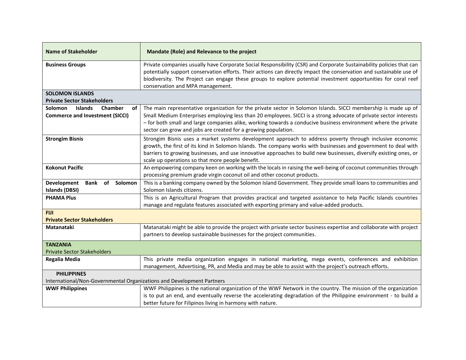| <b>Name of Stakeholder</b>                                                                         | Mandate (Role) and Relevance to the project                                                                                                                                                                                                                                                                                                                                                                             |  |  |  |  |
|----------------------------------------------------------------------------------------------------|-------------------------------------------------------------------------------------------------------------------------------------------------------------------------------------------------------------------------------------------------------------------------------------------------------------------------------------------------------------------------------------------------------------------------|--|--|--|--|
| <b>Business Groups</b>                                                                             | Private companies usually have Corporate Social Responsibility (CSR) and Corporate Sustainability policies that can<br>potentially support conservation efforts. Their actions can directly impact the conservation and sustainable use of<br>biodiversity. The Project can engage these groups to explore potential investment opportunities for coral reef<br>conservation and MPA management.                        |  |  |  |  |
| <b>SOLOMON ISLANDS</b><br><b>Private Sector Stakeholders</b>                                       |                                                                                                                                                                                                                                                                                                                                                                                                                         |  |  |  |  |
| <b>Solomon</b><br><b>Islands</b><br><b>Chamber</b><br>of<br><b>Commerce and Investment (SICCI)</b> | The main representative organization for the private sector in Solomon Islands. SICCI membership is made up of<br>Small Medium Enterprises employing less than 20 employees. SICCI is a strong advocate of private sector interests<br>- for both small and large companies alike, working towards a conducive business environment where the private<br>sector can grow and jobs are created for a growing population. |  |  |  |  |
| <b>Strongim Bisnis</b>                                                                             | Strongim Bisnis uses a market systems development approach to address poverty through inclusive economic<br>growth, the first of its kind in Solomon Islands. The company works with businesses and government to deal with<br>barriers to growing businesses, and use innovative approaches to build new businesses, diversify existing ones, or<br>scale up operations so that more people benefit.                   |  |  |  |  |
| <b>Kokonut Pacific</b>                                                                             | An empowering company keen on working with the locals in raising the well-being of coconut communities through<br>processing premium grade virgin coconut oil and other coconut products.                                                                                                                                                                                                                               |  |  |  |  |
| Development<br>Bank of<br>Solomon<br><b>Islands (DBSI)</b>                                         | This is a banking company owned by the Solomon Island Government. They provide small loans to communities and<br>Solomon Islands citizens.                                                                                                                                                                                                                                                                              |  |  |  |  |
| <b>PHAMA Plus</b>                                                                                  | This is an Agricultural Program that provides practical and targeted assistance to help Pacific Islands countries<br>manage and regulate features associated with exporting primary and value-added products.                                                                                                                                                                                                           |  |  |  |  |
| <b>FIJI</b><br><b>Private Sector Stakeholders</b>                                                  |                                                                                                                                                                                                                                                                                                                                                                                                                         |  |  |  |  |
| <b>Matanataki</b>                                                                                  | Matanataki might be able to provide the project with private sector business expertise and collaborate with project<br>partners to develop sustainable businesses for the project communities.                                                                                                                                                                                                                          |  |  |  |  |
| <b>TANZANIA</b><br><b>Private Sector Stakeholders</b>                                              |                                                                                                                                                                                                                                                                                                                                                                                                                         |  |  |  |  |
| Regalia Media                                                                                      | This private media organization engages in national marketing, mega events, conferences and exhibition<br>management, Advertising, PR, and Media and may be able to assist with the project's outreach efforts.                                                                                                                                                                                                         |  |  |  |  |
| <b>PHILIPPINES</b><br>International/Non-Governmental Organizations and Development Partners        |                                                                                                                                                                                                                                                                                                                                                                                                                         |  |  |  |  |
| <b>WWF Philippines</b>                                                                             | WWF Philippines is the national organization of the WWF Network in the country. The mission of the organization<br>is to put an end, and eventually reverse the accelerating degradation of the Philippine environment - to build a<br>better future for Filipinos living in harmony with nature.                                                                                                                       |  |  |  |  |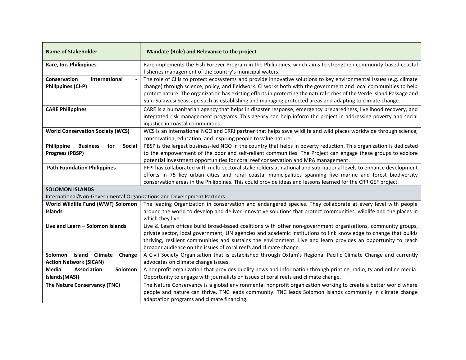| <b>Name of Stakeholder</b>                                                                      | Mandate (Role) and Relevance to the project                                                                                                                                                                                                                                                                                                                                                                                                                                 |  |  |  |  |
|-------------------------------------------------------------------------------------------------|-----------------------------------------------------------------------------------------------------------------------------------------------------------------------------------------------------------------------------------------------------------------------------------------------------------------------------------------------------------------------------------------------------------------------------------------------------------------------------|--|--|--|--|
| Rare, Inc. Philippines                                                                          | Rare implements the Fish Forever Program in the Philippines, which aims to strengthen community-based coastal<br>fisheries management of the country's municipal waters.                                                                                                                                                                                                                                                                                                    |  |  |  |  |
| Conservation<br><b>International</b><br>$\blacksquare$<br><b>Philippines (CI-P)</b>             | The role of CI is to protect ecosystems and provide innovative solutions to key environmental issues (e.g. climate<br>change) through science, policy, and fieldwork. CI works both with the government and local communities to help<br>protect nature. The organization has existing efforts in protecting the natural riches of the Verde Island Passage and<br>Sulu-Sulawesi Seascape such as establishing and managing protected areas and adapting to climate change. |  |  |  |  |
| <b>CARE Philippines</b>                                                                         | CARE is a humanitarian agency that helps in disaster response, emergency preparedness, livelihood recovery, and<br>integrated risk management programs. This agency can help inform the project in addressing poverty and social<br>injustice in coastal communities.                                                                                                                                                                                                       |  |  |  |  |
| <b>World Conservation Society (WCS)</b>                                                         | WCS is an international NGO and CRRI partner that helps save wildlife and wild places worldwide through science,<br>conservation, education, and inspiring people to value nature.                                                                                                                                                                                                                                                                                          |  |  |  |  |
| Philippine<br><b>Business</b><br><b>Social</b><br>for<br><b>Progress (PBSP)</b>                 | PBSP is the largest business-led NGO in the country that helps in poverty reduction. This organization is dedicated<br>to the empowerment of the poor and self-reliant communities. The Project can engage these groups to explore<br>potential investment opportunities for coral reef conservation and MPA management.                                                                                                                                                    |  |  |  |  |
| <b>Path Foundation Philippines</b>                                                              | PFPI has collaborated with multi-sectoral stakeholders at national and sub-national levels to enhance development<br>efforts in 75 key urban cities and rural coastal municipalities spanning five marine and forest biodiversity<br>conservation areas in the Philippines. This could provide ideas and lessons learned for the CRR GEF project.                                                                                                                           |  |  |  |  |
| <b>SOLOMON ISLANDS</b><br>International/Non-Governmental Organizations and Development Partners |                                                                                                                                                                                                                                                                                                                                                                                                                                                                             |  |  |  |  |
| World Wildlife Fund (WWF) Solomon<br><b>Islands</b>                                             | The leading Organization in conservation and endangered species. They collaborate at every level with people<br>around the world to develop and deliver innovative solutions that protect communities, wildlife and the places in<br>which they live.                                                                                                                                                                                                                       |  |  |  |  |
| Live and Learn - Solomon Islands                                                                | Live & Learn offices build broad-based coalitions with other non-government organisations, community groups,<br>private sector, local government, UN agencies and academic institutions to link knowledge to change that builds<br>thriving, resilient communities and sustains the environment. Live and learn provides an opportunity to reach<br>broader audience on the issues of coral reefs and climate change.                                                       |  |  |  |  |
| Solomon Island Climate<br>Change<br><b>Action Network (SICAN)</b>                               | A Civil Society Organisation that is established through Oxfam's Regional Pacific Climate Change and currently<br>advocates on climate change issues.                                                                                                                                                                                                                                                                                                                       |  |  |  |  |
| <b>Media</b><br><b>Association</b><br>Solomon<br>Islands(MASI)                                  | A nonprofit organization that provides quality news and information through printing, radio, tv and online media.<br>Opportunity to engage with journalists on issues of coral reefs and climate change.                                                                                                                                                                                                                                                                    |  |  |  |  |
| The Nature Conservancy (TNC)                                                                    | The Nature Conservancy is a global environmental nonprofit organization working to create a better world where<br>people and nature can thrive. TNC leads community. TNC leads Solomon Islands community in climate change<br>adaptation programs and climate financing.                                                                                                                                                                                                    |  |  |  |  |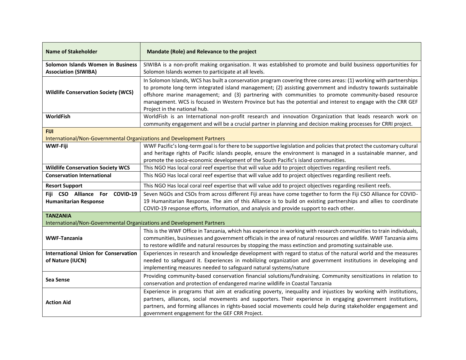| <b>Name of Stakeholder</b>                                            | Mandate (Role) and Relevance to the project                                                                                                                                                                                                                                                                                                                                                                                                                                               |  |  |  |  |
|-----------------------------------------------------------------------|-------------------------------------------------------------------------------------------------------------------------------------------------------------------------------------------------------------------------------------------------------------------------------------------------------------------------------------------------------------------------------------------------------------------------------------------------------------------------------------------|--|--|--|--|
| Solomon Islands Women in Business<br><b>Association (SIWIBA)</b>      | SIWIBA is a non-profit making organisation. It was established to promote and build business opportunities for<br>Solomon Islands women to participate at all levels.                                                                                                                                                                                                                                                                                                                     |  |  |  |  |
| <b>Wildlife Conservation Society (WCS)</b>                            | In Solomon Islands, WCS has built a conservation program covering three cores areas: (1) working with partnerships<br>to promote long-term integrated island management; (2) assisting government and industry towards sustainable<br>offshore marine management; and (3) partnering with communities to promote community-based resource<br>management. WCS is focused in Western Province but has the potential and interest to engage with the CRR GEF<br>Project in the national hub. |  |  |  |  |
| WorldFish                                                             | WorldFish is an International non-profit research and innovation Organization that leads research work on<br>community engagement and will be a crucial partner in planning and decision making processes for CRRI project.                                                                                                                                                                                                                                                               |  |  |  |  |
| <b>FIJI</b>                                                           |                                                                                                                                                                                                                                                                                                                                                                                                                                                                                           |  |  |  |  |
| International/Non-Governmental Organizations and Development Partners |                                                                                                                                                                                                                                                                                                                                                                                                                                                                                           |  |  |  |  |
| <b>WWF-Fiji</b>                                                       | WWF Pacific's long-term goal is for there to be supportive legislation and policies that protect the customary cultural<br>and heritage rights of Pacific islands people, ensure the environment is managed in a sustainable manner, and<br>promote the socio-economic development of the South Pacific's island communities.                                                                                                                                                             |  |  |  |  |
| <b>Wildlife Conservation Society WCS</b>                              | This NGO Has local coral reef expertise that will value add to project objectives regarding resilient reefs.                                                                                                                                                                                                                                                                                                                                                                              |  |  |  |  |
| <b>Conservation International</b>                                     | This NGO Has local coral reef expertise that will value add to project objectives regarding resilient reefs.                                                                                                                                                                                                                                                                                                                                                                              |  |  |  |  |
| <b>Resort Support</b>                                                 | This NGO Has local coral reef expertise that will value add to project objectives regarding resilient reefs.                                                                                                                                                                                                                                                                                                                                                                              |  |  |  |  |
| Fiji CSO Alliance For COVID-19                                        | Seven NGOs and CSOs from across different Fiji areas have come together to form the Fiji CSO Alliance for COVID-<br>19 Humanitarian Response. The aim of this Alliance is to build on existing partnerships and allies to coordinate                                                                                                                                                                                                                                                      |  |  |  |  |
| <b>Humanitarian Response</b>                                          | COVID-19 response efforts, information, and analysis and provide support to each other.                                                                                                                                                                                                                                                                                                                                                                                                   |  |  |  |  |
| <b>TANZANIA</b>                                                       |                                                                                                                                                                                                                                                                                                                                                                                                                                                                                           |  |  |  |  |
| International/Non-Governmental Organizations and Development Partners |                                                                                                                                                                                                                                                                                                                                                                                                                                                                                           |  |  |  |  |
| <b>WWF-Tanzania</b>                                                   | This is the WWF Office in Tanzania, which has experience in working with research communities to train individuals,<br>communities, businesses and government officials in the area of natural resources and wildlife. WWF Tanzania aims<br>to restore wildlife and natural resources by stopping the mass extinction and promoting sustainable use.                                                                                                                                      |  |  |  |  |
| <b>International Union for Conservation</b>                           | Experiences in research and knowledge development with regard to status of the natural world and the measures                                                                                                                                                                                                                                                                                                                                                                             |  |  |  |  |
| of Nature (IUCN)                                                      | needed to safeguard it. Experiences in mobilizing organization and government institutions in developing and<br>implementing measures needed to safeguard natural systems/nature                                                                                                                                                                                                                                                                                                          |  |  |  |  |
| Sea Sense                                                             | Providing community-based conservation financial solutions/fundraising. Community sensitizations in relation to<br>conservation and protection of endangered marine wildlife in Coastal Tanzania                                                                                                                                                                                                                                                                                          |  |  |  |  |
| <b>Action Aid</b>                                                     | Experience in programs that aim at eradicating poverty, inequality and injustices by working with institutions,<br>partners, alliances, social movements and supporters. Their experience in engaging government institutions,<br>partners, and forming alliances in rights-based social movements could help during stakeholder engagement and<br>government engagement for the GEF CRR Project.                                                                                         |  |  |  |  |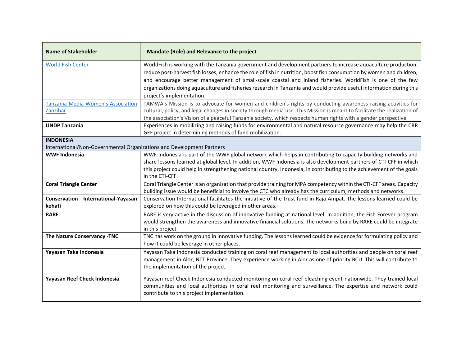| <b>Name of Stakeholder</b>                                            | Mandate (Role) and Relevance to the project                                                                                                                                                                                         |  |  |  |  |  |
|-----------------------------------------------------------------------|-------------------------------------------------------------------------------------------------------------------------------------------------------------------------------------------------------------------------------------|--|--|--|--|--|
| <b>World Fish Center</b>                                              | WorldFish is working with the Tanzania government and development partners to increase aquaculture production,                                                                                                                      |  |  |  |  |  |
|                                                                       | reduce post-harvest fish losses, enhance the role of fish in nutrition, boost fish consumption by women and children,                                                                                                               |  |  |  |  |  |
|                                                                       | and encourage better management of small-scale coastal and inland fisheries. WorldFish is one of the few                                                                                                                            |  |  |  |  |  |
|                                                                       | organizations doing aquaculture and fisheries research in Tanzania and would provide useful information during this<br>project's implementation.                                                                                    |  |  |  |  |  |
| Tanzania Media Women's Association                                    | TAMWA's Mission is to advocate for women and children's rights by conducting awareness-raising activities for                                                                                                                       |  |  |  |  |  |
| Zanzibar                                                              | cultural, policy, and legal changes in society through media use. This Mission is meant to facilitate the realization of                                                                                                            |  |  |  |  |  |
|                                                                       | the association's Vision of a peaceful Tanzania society, which respects human rights with a gender perspective.                                                                                                                     |  |  |  |  |  |
| <b>UNDP Tanzania</b>                                                  | Experiences in mobilizing and raising funds for environmental and natural resource governance may help the CRR<br>GEF project in determining methods of fund mobilization.                                                          |  |  |  |  |  |
| <b>INDONESIA</b>                                                      |                                                                                                                                                                                                                                     |  |  |  |  |  |
| International/Non-Governmental Organizations and Development Partners |                                                                                                                                                                                                                                     |  |  |  |  |  |
| <b>WWF Indonesia</b>                                                  | WWF Indonesia is part of the WWF global network which helps in contributing to capacity building networks and                                                                                                                       |  |  |  |  |  |
|                                                                       | share lessons learned at global level. In addition, WWF Indonesia is also development partners of CTI-CFF in which                                                                                                                  |  |  |  |  |  |
|                                                                       | this project could help in strengthening national country, Indonesia, in contributing to the achievement of the goals                                                                                                               |  |  |  |  |  |
|                                                                       | in the CTI-CFF.                                                                                                                                                                                                                     |  |  |  |  |  |
| <b>Coral Triangle Center</b>                                          | Coral Triangle Center is an organization that provide training for MPA competency within the CTI-CFF areas. Capacity<br>building issue would be beneficial to involve the CTC who already has the curriculum, methods and networks. |  |  |  |  |  |
| Conservation International-Yayasan                                    | Conservation International facilitates the initiative of the trust fund in Raja Ampat. The lessons learned could be                                                                                                                 |  |  |  |  |  |
| kehati                                                                | explored on how this could be leveraged in other areas.                                                                                                                                                                             |  |  |  |  |  |
| <b>RARE</b>                                                           | RARE is very active in the discussion of innovative funding at national level. In addition, the Fish Forever program                                                                                                                |  |  |  |  |  |
|                                                                       | would strengthen the awareness and innovative financial solutions. The networks build by RARE could be integrate<br>in this project.                                                                                                |  |  |  |  |  |
| The Nature Conservancy - TNC                                          | TNC has work on the ground in innovative funding. The lessons learned could be evidence for formulating policy and                                                                                                                  |  |  |  |  |  |
|                                                                       | how it could be leverage in other places.                                                                                                                                                                                           |  |  |  |  |  |
| Yayasan Taka Indonesia                                                | Yayasan Taka Indonesia conducted training on coral reef management to local authorities and people on coral reef                                                                                                                    |  |  |  |  |  |
|                                                                       | management in Alor, NTT Province. They experience working in Alor as one of priority BCU. This will contribute to                                                                                                                   |  |  |  |  |  |
|                                                                       | the implementation of the project.                                                                                                                                                                                                  |  |  |  |  |  |
| Yayasan Reef Check Indonesia                                          | Yayasan reef Check Indonesia conducted monitoring on coral reef bleaching event nationwide. They trained local                                                                                                                      |  |  |  |  |  |
|                                                                       | communities and local authorities in coral reef monitoring and surveillance. The expertise and network could                                                                                                                        |  |  |  |  |  |
|                                                                       | contribute to this project implementation.                                                                                                                                                                                          |  |  |  |  |  |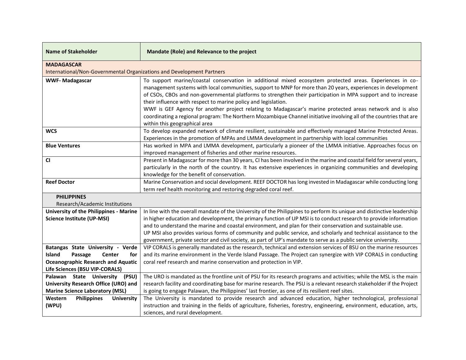| <b>Name of Stakeholder</b>                                                                                                                                           | Mandate (Role) and Relevance to the project                                                                                                                                                                                                                                                                                                                                                                                                                                                                                                                                                                                                                                      |  |  |  |  |  |
|----------------------------------------------------------------------------------------------------------------------------------------------------------------------|----------------------------------------------------------------------------------------------------------------------------------------------------------------------------------------------------------------------------------------------------------------------------------------------------------------------------------------------------------------------------------------------------------------------------------------------------------------------------------------------------------------------------------------------------------------------------------------------------------------------------------------------------------------------------------|--|--|--|--|--|
| <b>MADAGASCAR</b>                                                                                                                                                    |                                                                                                                                                                                                                                                                                                                                                                                                                                                                                                                                                                                                                                                                                  |  |  |  |  |  |
| International/Non-Governmental Organizations and Development Partners                                                                                                |                                                                                                                                                                                                                                                                                                                                                                                                                                                                                                                                                                                                                                                                                  |  |  |  |  |  |
| <b>WWF-Madagascar</b>                                                                                                                                                | To support marine/coastal conservation in additional mixed ecosystem protected areas. Experiences in co-<br>management systems with local communities, support to MNP for more than 20 years, experiences in development<br>of CSOs, CBOs and non-governmental platforms to strengthen their participation in MPA support and to increase<br>their influence with respect to marine policy and legislation.<br>WWF is GEF Agency for another project relating to Madagascar's marine protected areas network and is also<br>coordinating a regional program: The Northern Mozambique Channel initiative involving all of the countries that are<br>within this geographical area |  |  |  |  |  |
| <b>WCS</b>                                                                                                                                                           | To develop expanded network of climate resilient, sustainable and effectively managed Marine Protected Areas.<br>Experiences in the promotion of MPAs and LMMA development in partnership with local communities                                                                                                                                                                                                                                                                                                                                                                                                                                                                 |  |  |  |  |  |
| <b>Blue Ventures</b>                                                                                                                                                 | Has worked in MPA and LMMA development, particularly a pioneer of the LMMA initiative. Approaches focus on<br>improved management of fisheries and other marine resources.                                                                                                                                                                                                                                                                                                                                                                                                                                                                                                       |  |  |  |  |  |
| <b>CI</b>                                                                                                                                                            | Present in Madagascar for more than 30 years, CI has been involved in the marine and coastal field for several years,<br>particularly in the north of the country. It has extensive experiences in organizing communities and developing<br>knowledge for the benefit of conservation.                                                                                                                                                                                                                                                                                                                                                                                           |  |  |  |  |  |
| <b>Reef Doctor</b>                                                                                                                                                   | Marine Conservation and social development. REEF DOCTOR has long invested in Madagascar while conducting long<br>term reef health monitoring and restoring degraded coral reef.                                                                                                                                                                                                                                                                                                                                                                                                                                                                                                  |  |  |  |  |  |
| <b>PHILIPPINES</b><br>Research/Academic Institutions                                                                                                                 |                                                                                                                                                                                                                                                                                                                                                                                                                                                                                                                                                                                                                                                                                  |  |  |  |  |  |
| <b>University of the Philippines - Marine</b><br><b>Science Institute (UP-MSI)</b>                                                                                   | In line with the overall mandate of the University of the Philippines to perform its unique and distinctive leadership<br>in higher education and development, the primary function of UP MSI is to conduct research to provide information<br>and to understand the marine and coastal environment, and plan for their conservation and sustainable use.<br>UP MSI also provides various forms of community and public service, and scholarly and technical assistance to the<br>government, private sector and civil society, as part of UP's mandate to serve as a public service university.                                                                                 |  |  |  |  |  |
| Batangas State University - Verde<br><b>Island</b><br>Passage<br><b>Center</b><br>for<br><b>Oceanographic Research and Aquatic</b><br>Life Sciences (BSU VIP-CORALS) | VIP CORALS is generally mandated as the research, technical and extension services of BSU on the marine resources<br>and its marine environment in the Verde Island Passage. The Project can synergize with VIP CORALS in conducting<br>coral reef research and marine conservation and protection in VIP.                                                                                                                                                                                                                                                                                                                                                                       |  |  |  |  |  |
| Palawan State University (PSU)<br>University Research Office (URO) and<br><b>Marine Science Laboratory (MSL)</b>                                                     | The URO is mandated as the frontline unit of PSU for its research programs and activities; while the MSL is the main<br>research facility and coordinating base for marine research. The PSU is a relevant research stakeholder if the Project<br>is going to engage Palawan, the Philippines' last frontier, as one of its resilient reef sites.                                                                                                                                                                                                                                                                                                                                |  |  |  |  |  |
| Western<br><b>Philippines</b><br><b>University</b><br>(WPU)                                                                                                          | The University is mandated to provide research and advanced education, higher technological, professional<br>instruction and training in the fields of agriculture, fisheries, forestry, engineering, environment, education, arts,<br>sciences, and rural development.                                                                                                                                                                                                                                                                                                                                                                                                          |  |  |  |  |  |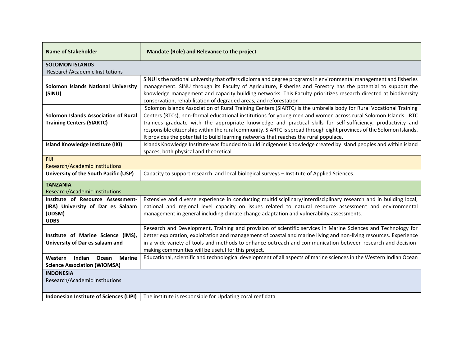| <b>Name of Stakeholder</b>                                                                      | Mandate (Role) and Relevance to the project                                                                                                                                                                                                                                                                                                                                                                                                                                                                                                                        |  |  |  |  |
|-------------------------------------------------------------------------------------------------|--------------------------------------------------------------------------------------------------------------------------------------------------------------------------------------------------------------------------------------------------------------------------------------------------------------------------------------------------------------------------------------------------------------------------------------------------------------------------------------------------------------------------------------------------------------------|--|--|--|--|
| <b>SOLOMON ISLANDS</b>                                                                          |                                                                                                                                                                                                                                                                                                                                                                                                                                                                                                                                                                    |  |  |  |  |
| Research/Academic Institutions                                                                  |                                                                                                                                                                                                                                                                                                                                                                                                                                                                                                                                                                    |  |  |  |  |
| Solomon Islands National University<br>(SINU)                                                   | SINU is the national university that offers diploma and degree programs in environmental management and fisheries<br>management. SINU through its Faculty of Agriculture, Fisheries and Forestry has the potential to support the<br>knowledge management and capacity building networks. This Faculty prioritizes research directed at biodiversity<br>conservation, rehabilitation of degraded areas, and reforestation                                                                                                                                          |  |  |  |  |
| Solomon Islands Association of Rural<br><b>Training Centers (SIARTC)</b>                        | Solomon Islands Association of Rural Training Centers (SIARTC) is the umbrella body for Rural Vocational Training<br>Centers (RTCs), non-formal educational institutions for young men and women across rural Solomon Islands RTC<br>trainees graduate with the appropriate knowledge and practical skills for self-sufficiency, productivity and<br>responsible citizenship within the rural community. SIARTC is spread through eight provinces of the Solomon Islands.<br>It provides the potential to build learning networks that reaches the rural populace. |  |  |  |  |
| <b>Island Knowledge Institute (IKI)</b>                                                         | Islands Knowledge Institute was founded to build indigenous knowledge created by island peoples and within island<br>spaces, both physical and theoretical.                                                                                                                                                                                                                                                                                                                                                                                                        |  |  |  |  |
| <b>FIJI</b><br><b>Research/Academic Institutions</b>                                            |                                                                                                                                                                                                                                                                                                                                                                                                                                                                                                                                                                    |  |  |  |  |
| University of the South Pacific (USP)                                                           | Capacity to support research and local biological surveys - Institute of Applied Sciences.                                                                                                                                                                                                                                                                                                                                                                                                                                                                         |  |  |  |  |
| <b>TANZANIA</b><br>Research/Academic Institutions                                               |                                                                                                                                                                                                                                                                                                                                                                                                                                                                                                                                                                    |  |  |  |  |
| Institute of Resource Assessment-<br>(IRA) University of Dar es Salaam<br>(UDSM)<br><b>UDBS</b> | Extensive and diverse experience in conducting multidisciplinary/interdisciplinary research and in building local,<br>national and regional level capacity on issues related to natural resource assessment and environmental<br>management in general including climate change adaptation and vulnerability assessments.                                                                                                                                                                                                                                          |  |  |  |  |
| Institute of Marine Science (IMS),<br>University of Dar es salaam and                           | Research and Development, Training and provision of scientific services in Marine Sciences and Technology for<br>better exploration, exploitation and management of coastal and marine living and non-living resources. Experience<br>in a wide variety of tools and methods to enhance outreach and communication between research and decision-<br>making communities will be useful for this project.                                                                                                                                                           |  |  |  |  |
| Western<br>Indian<br>Ocean<br><b>Marine</b><br><b>Science Association (WIOMSA)</b>              | Educational, scientific and technological development of all aspects of marine sciences in the Western Indian Ocean                                                                                                                                                                                                                                                                                                                                                                                                                                                |  |  |  |  |
| <b>INDONESIA</b><br>Research/Academic Institutions                                              |                                                                                                                                                                                                                                                                                                                                                                                                                                                                                                                                                                    |  |  |  |  |
| <b>Indonesian Institute of Sciences (LIPI)</b>                                                  | The institute is responsible for Updating coral reef data                                                                                                                                                                                                                                                                                                                                                                                                                                                                                                          |  |  |  |  |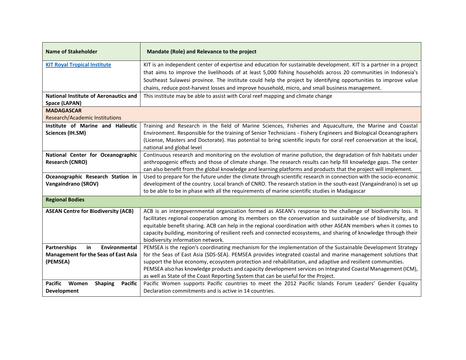| <b>Name of Stakeholder</b>                                         | Mandate (Role) and Relevance to the project                                                                                                                                                                                  |  |  |  |  |  |
|--------------------------------------------------------------------|------------------------------------------------------------------------------------------------------------------------------------------------------------------------------------------------------------------------------|--|--|--|--|--|
| <b>KIT Royal Tropical Institute</b>                                | KIT is an independent center of expertise and education for sustainable development. KIT Is a partner in a project                                                                                                           |  |  |  |  |  |
|                                                                    | that aims to improve the livelihoods of at least 5,000 fishing households across 20 communities in Indonesia's                                                                                                               |  |  |  |  |  |
|                                                                    | Southeast Sulawesi province. The institute could help the project by identifying opportunities to improve value                                                                                                              |  |  |  |  |  |
|                                                                    | chains, reduce post-harvest losses and improve household, micro, and small business management.                                                                                                                              |  |  |  |  |  |
| <b>National Institute of Aeronautics and</b>                       | This institute may be able to assist with Coral reef mapping and climate change                                                                                                                                              |  |  |  |  |  |
| Space (LAPAN)                                                      |                                                                                                                                                                                                                              |  |  |  |  |  |
| <b>MADAGASCAR</b>                                                  |                                                                                                                                                                                                                              |  |  |  |  |  |
| Research/Academic Institutions                                     |                                                                                                                                                                                                                              |  |  |  |  |  |
| Institute of Marine and Halieutic                                  | Training and Research in the field of Marine Sciences, Fisheries and Aquaculture, the Marine and Coastal                                                                                                                     |  |  |  |  |  |
| Sciences (IH.SM)                                                   | Environment. Responsible for the training of Senior Technicians - Fishery Engineers and Biological Oceanographers                                                                                                            |  |  |  |  |  |
|                                                                    | (License, Masters and Doctorate). Has potential to bring scientific inputs for coral reef conservation at the local,<br>national and global level                                                                            |  |  |  |  |  |
| National Center for Oceanographic                                  | Continuous research and monitoring on the evolution of marine pollution, the degradation of fish habitats under                                                                                                              |  |  |  |  |  |
| <b>Research (CNRO)</b>                                             | anthropogenic effects and those of climate change. The research results can help fill knowledge gaps. The center                                                                                                             |  |  |  |  |  |
|                                                                    | can also benefit from the global knowledge and learning platforms and products that the project will implement.                                                                                                              |  |  |  |  |  |
| Oceanographic Research Station in                                  | Used to prepare for the future under the climate through scientific research in connection with the socio-economic                                                                                                           |  |  |  |  |  |
| <b>Vangaindrano (SROV)</b>                                         | development of the country. Local branch of CNRO. The research station in the south-east (Vangaindrano) is set up                                                                                                            |  |  |  |  |  |
|                                                                    | to be able to be in phase with all the requirements of marine scientific studies in Madagascar                                                                                                                               |  |  |  |  |  |
| <b>Regional Bodies</b>                                             |                                                                                                                                                                                                                              |  |  |  |  |  |
| <b>ASEAN Centre for Biodiversity (ACB)</b>                         | ACB is an intergovernmental organization formed as ASEAN's response to the challenge of biodiversity loss. It                                                                                                                |  |  |  |  |  |
|                                                                    | facilitates regional cooperation among its members on the conservation and sustainable use of biodiversity, and                                                                                                              |  |  |  |  |  |
|                                                                    | equitable benefit sharing. ACB can help in the regional coordination with other ASEAN members when it comes to                                                                                                               |  |  |  |  |  |
|                                                                    | capacity building, monitoring of resilient reefs and connected ecosystems, and sharing of knowledge through their                                                                                                            |  |  |  |  |  |
| in<br><b>Environmental</b>                                         | biodiversity information network.                                                                                                                                                                                            |  |  |  |  |  |
| <b>Partnerships</b><br><b>Management for the Seas of East Asia</b> | PEMSEA is the region's coordinating mechanism for the implementation of the Sustainable Development Strategy<br>for the Seas of East Asia (SDS-SEA). PEMSEA provides integrated coastal and marine management solutions that |  |  |  |  |  |
| (PEMSEA)                                                           | support the blue economy, ecosystem protection and rehabilitation, and adaptive and resilient communities.                                                                                                                   |  |  |  |  |  |
|                                                                    | PEMSEA also has knowledge products and capacity development services on Integrated Coastal Management (ICM),                                                                                                                 |  |  |  |  |  |
|                                                                    | as well as State of the Coast Reporting System that can be useful for the Project.                                                                                                                                           |  |  |  |  |  |
| <b>Pacific</b><br>Women<br><b>Shaping</b><br><b>Pacific</b>        | Pacific Women supports Pacific countries to meet the 2012 Pacific Islands Forum Leaders' Gender Equality                                                                                                                     |  |  |  |  |  |
| Development                                                        | Declaration commitments and is active in 14 countries.                                                                                                                                                                       |  |  |  |  |  |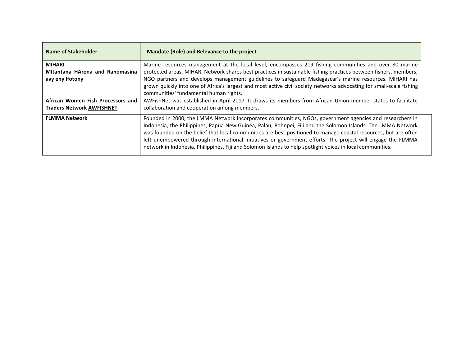| Name of Stakeholder                                                   | Mandate (Role) and Relevance to the project                                                                                                                                                                                                                                                                                                                                                                                                                                                                                                                              |
|-----------------------------------------------------------------------|--------------------------------------------------------------------------------------------------------------------------------------------------------------------------------------------------------------------------------------------------------------------------------------------------------------------------------------------------------------------------------------------------------------------------------------------------------------------------------------------------------------------------------------------------------------------------|
| <b>MIHARI</b><br>Mitantana HArena and Ranomasina<br>avy eny Ifotony   | Marine resources management at the local level, encompasses 219 fishing communities and over 80 marine<br>protected areas. MIHARI Network shares best practices in sustainable fishing practices between fishers, members,<br>NGO partners and develops management guidelines to safeguard Madagascar's marine resources. MIHARI has<br>grown quickly into one of Africa's largest and most active civil society networks advocating for small-scale fishing<br>communities' fundamental human rights.                                                                   |
| African Women Fish Processors and<br><b>Traders Network AWFISHNET</b> | AWFishNet was established in April 2017. It draws its members from African Union member states to facilitate<br>collaboration and cooperation among members.                                                                                                                                                                                                                                                                                                                                                                                                             |
| <b>FLMMA Network</b>                                                  | Founded in 2000, the LMMA Network incorporates communities, NGOs, government agencies and researchers in<br>Indonesia, the Philippines, Papua New Guinea, Palau, Pohnpei, Fiji and the Solomon Islands. The LMMA Network<br>was founded on the belief that local communities are best positioned to manage coastal resources, but are often<br>left unempowered through international initiatives or government efforts. The project will engage the FLMMA<br>network in Indonesia, Philippines, Fiji and Solomon Islands to help spotlight voices in local communities. |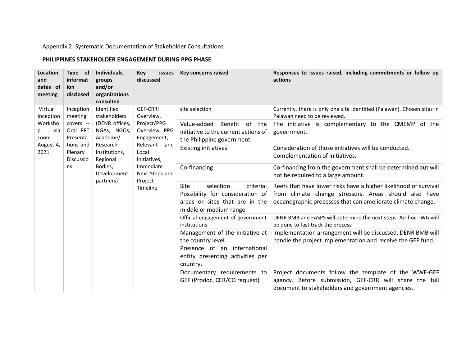# Appendix 2: Systematic Documentation of Stakeholder Consultations

# **PHILIPPINES STAKEHOLDER ENGAGEMENT DURING PPG PHASE**

| Location<br>and<br>dates of<br>meeting | Type of<br>informat<br>ion<br>disclosed                                        | Individuals,<br>groups<br>and/or<br>organizations<br>consulted | <b>Key</b><br>issues<br>discussed                                                                     | Key concerns raised                                                                                                                   | Responses to issues raised, including commitments or follow up<br>actions                                                                                                                |
|----------------------------------------|--------------------------------------------------------------------------------|----------------------------------------------------------------|-------------------------------------------------------------------------------------------------------|---------------------------------------------------------------------------------------------------------------------------------------|------------------------------------------------------------------------------------------------------------------------------------------------------------------------------------------|
| Virtual<br>Inception                   | Inception<br>meeting                                                           | Identified<br>stakeholders                                     | <b>GEF-CRRI</b><br>Overview,                                                                          | site selection                                                                                                                        | Currently, there is only one site identified (Palawan). Chosen sites in<br>Palawan need to be reviewed.                                                                                  |
| Worksho<br>via<br>zoom                 | (DENR offices,<br>covers --<br>Oral PPT<br>NGAs, NGOs,<br>Academe/<br>Presenta | Project/PPG<br>Overview, PPG<br>Engagement,                    | Value-added<br>Benefit of<br>the<br>initiative to the current actions of<br>the Philippine government | The initiative is complementary to the CMEMP of the<br>government.                                                                    |                                                                                                                                                                                          |
| August 4,<br>2021                      | tions and<br>Plenary<br><b>Discussio</b>                                       | Research<br>Institutions,<br>Regional                          | Relevant and<br>Local<br>Initiatives,<br>Immediate<br>Next Steps and<br>Project<br>Timeline           | <b>Existing initiatives</b>                                                                                                           | Consideration of those initiatives will be conducted.<br>Complementation of initiatives.                                                                                                 |
|                                        | ns                                                                             | Bodies,<br>Development<br>partners)                            |                                                                                                       | Co-financing                                                                                                                          | Co-financing from the government shall be determined but will<br>not be required to a large amount.                                                                                      |
|                                        |                                                                                |                                                                |                                                                                                       | selection<br>Site<br>criteria:<br>Possibility for consideration of<br>areas or sites that are in the<br>middle or medium range.       | Reefs that have lower risks have a higher likelihood of survival<br>from climate change stressors. Areas should also have<br>oceanographic processes that can ameliorate climate change. |
|                                        |                                                                                |                                                                |                                                                                                       | Official engagement of government<br>institutions                                                                                     | DENR BMB and FASPS will determine the next steps. Ad-hoc TWG will<br>be done to fast track the process                                                                                   |
|                                        |                                                                                |                                                                |                                                                                                       | Management of the initiative at<br>the country level.<br>Presence of an international<br>entity presenting activities per<br>country. | Implementation arrangement will be discussed. DENR BMB will<br>handle the project implementation and receive the GEF fund.                                                               |
|                                        |                                                                                |                                                                |                                                                                                       | Documentary requirements to<br>GEF (Prodoc, CER/CO request)                                                                           | Project documents follow the template of the WWF-GEF<br>agency. Before submission, GEF-CRR will share the full<br>document to stakeholders and government agencies.                      |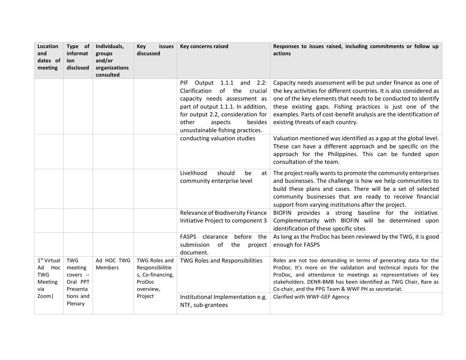| Location<br>and<br>dates of<br>meeting                                       | Type of<br>informat<br>ion<br>disclosed                                 | Individuals,<br>groups<br>and/or<br>organizations<br>consulted | <b>Key</b><br><b>issues</b><br>discussed                                                      | Key concerns raised                                                                                                                                                                                                                                   | Responses to issues raised, including commitments or follow up<br>actions                                                                                                                                                                                                                                                                                                       |
|------------------------------------------------------------------------------|-------------------------------------------------------------------------|----------------------------------------------------------------|-----------------------------------------------------------------------------------------------|-------------------------------------------------------------------------------------------------------------------------------------------------------------------------------------------------------------------------------------------------------|---------------------------------------------------------------------------------------------------------------------------------------------------------------------------------------------------------------------------------------------------------------------------------------------------------------------------------------------------------------------------------|
|                                                                              |                                                                         |                                                                |                                                                                               | Output<br>$1.1.1$ and $2.2$ :<br>PIF<br>Clarification<br>of the crucial<br>capacity needs assessment as<br>part of output 1.1.1. In addition,<br>for output 2.2, consideration for<br>other<br>aspects<br>besides<br>unsustainable fishing practices. | Capacity needs assessment will be put under finance as one of<br>the key activities for different countries. It is also considered as<br>one of the key elements that needs to be conducted to identify<br>these existing gaps. Fishing practices is just one of the<br>examples. Parts of cost-benefit analysis are the identification of<br>existing threats of each country. |
|                                                                              |                                                                         |                                                                |                                                                                               | conducting valuation studies                                                                                                                                                                                                                          | Valuation mentioned was identified as a gap at the global level.<br>These can have a different approach and be specific on the<br>approach for the Philippines. This can be funded upon<br>consultation of the team.                                                                                                                                                            |
|                                                                              |                                                                         |                                                                |                                                                                               | Livelihood<br>should<br>be<br>at<br>community enterprise level                                                                                                                                                                                        | The project really wants to promote the community enterprises<br>and businesses. The challenge is how we help communities to<br>build these plans and cases. There will be a set of selected<br>community businesses that are ready to receive financial<br>support from varying institutions after the project.                                                                |
|                                                                              |                                                                         |                                                                |                                                                                               | Relevance of Biodiversity Finance<br>Initiative Project to component 3                                                                                                                                                                                | BIOFIN provides a strong baseline for the initiative.<br>Complementarity with BIOFIN will be determined upon<br>identification of these specific sites                                                                                                                                                                                                                          |
|                                                                              |                                                                         |                                                                |                                                                                               | FASPS clearance before the<br>submission<br>of the<br>project<br>document.                                                                                                                                                                            | As long as the ProDoc has been reviewed by the TWG, it is good<br>enough for FASPS                                                                                                                                                                                                                                                                                              |
| 1 <sup>st</sup> Virtual<br>Hoc<br>Ad<br><b>TWG</b><br>Meeting<br>via<br>Zoom | <b>TWG</b><br>meeting<br>covers --<br>Oral PPT<br>Presenta<br>tions and | Ad HOC TWG<br><b>Members</b>                                   | <b>TWG Roles and</b><br>Responsibilitie<br>s, Co-financing,<br>ProDoc<br>overview,<br>Project | TWG Roles and Responsibilities                                                                                                                                                                                                                        | Roles are not too demanding in terms of generating data for the<br>ProDoc. It's more on the validation and technical inputs for the<br>ProDoc, and attendance to meetings as representatives of key<br>stakeholders. DENR-BMB has been identified as TWG Chair, Rare as<br>Co-chair, and the PPG Team & WWF PH as secretariat.                                                  |
|                                                                              | Plenary                                                                 |                                                                |                                                                                               | Institutional Implementation e.g.<br>NTF, sub-grantees                                                                                                                                                                                                | Clarified with WWF-GEF Agency                                                                                                                                                                                                                                                                                                                                                   |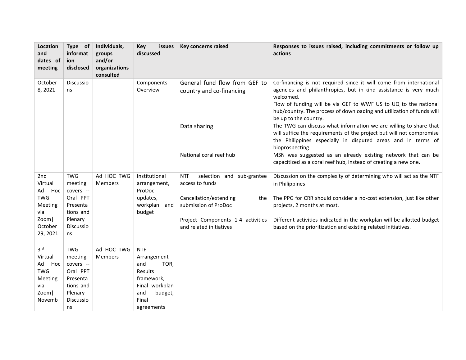| Location<br>and<br>dates of<br>meeting                                                     | Type of<br>informat<br>ion<br>disclosed                                                               | Individuals,<br>groups<br>and/or<br>organizations<br>consulted | Key<br>issues<br>discussed                                                                                                   | Key concerns raised                                          | Responses to issues raised, including commitments or follow up<br>actions                                                                                                                                                                                                                                                |
|--------------------------------------------------------------------------------------------|-------------------------------------------------------------------------------------------------------|----------------------------------------------------------------|------------------------------------------------------------------------------------------------------------------------------|--------------------------------------------------------------|--------------------------------------------------------------------------------------------------------------------------------------------------------------------------------------------------------------------------------------------------------------------------------------------------------------------------|
| October<br>8,2021                                                                          | Discussio<br>ns                                                                                       |                                                                | Components<br>Overview                                                                                                       | General fund flow from GEF to<br>country and co-financing    | Co-financing is not required since it will come from international<br>agencies and philanthropies, but in-kind assistance is very much<br>welcomed.<br>Flow of funding will be via GEF to WWF US to UQ to the national<br>hub/country. The process of downloading and utilization of funds will<br>be up to the country. |
|                                                                                            |                                                                                                       |                                                                |                                                                                                                              | Data sharing                                                 | The TWG can discuss what information we are willing to share that<br>will suffice the requirements of the project but will not compromise<br>the Philippines especially in disputed areas and in terms of<br>bioprospecting.                                                                                             |
|                                                                                            |                                                                                                       |                                                                |                                                                                                                              | National coral reef hub                                      | MSN was suggested as an already existing network that can be<br>capacitized as a coral reef hub, instead of creating a new one.                                                                                                                                                                                          |
| 2nd<br>Virtual<br>Hoc<br>Ad                                                                | <b>TWG</b><br>meeting<br>covers --                                                                    | Ad HOC TWG<br>Members                                          | Institutional<br>arrangement,<br>ProDoc                                                                                      | selection and sub-grantee<br><b>NTF</b><br>access to funds   | Discussion on the complexity of determining who will act as the NTF<br>in Philippines                                                                                                                                                                                                                                    |
| <b>TWG</b><br>Meeting<br>via                                                               | Oral PPT<br>Presenta<br>tions and                                                                     |                                                                | updates,<br>workplan<br>and<br>budget                                                                                        | Cancellation/extending<br>the<br>submission of ProDoc        | The PPG for CRR should consider a no-cost extension, just like other<br>projects, 2 months at most.                                                                                                                                                                                                                      |
| Zoom <br>October<br>29, 2021                                                               | Plenary<br>Discussio<br>ns                                                                            |                                                                |                                                                                                                              | Project Components 1-4 activities<br>and related initiatives | Different activities indicated in the workplan will be allotted budget<br>based on the prioritization and existing related initiatives.                                                                                                                                                                                  |
| 3 <sup>rd</sup><br>Virtual<br>Hoc<br>Ad<br><b>TWG</b><br>Meeting<br>via<br>Zoom <br>Novemb | <b>TWG</b><br>meeting<br>covers --<br>Oral PPT<br>Presenta<br>tions and<br>Plenary<br>Discussio<br>ns | Ad HOC TWG<br>Members                                          | <b>NTF</b><br>Arrangement<br>and<br>TOR,<br>Results<br>framework,<br>Final workplan<br>and<br>budget,<br>Final<br>agreements |                                                              |                                                                                                                                                                                                                                                                                                                          |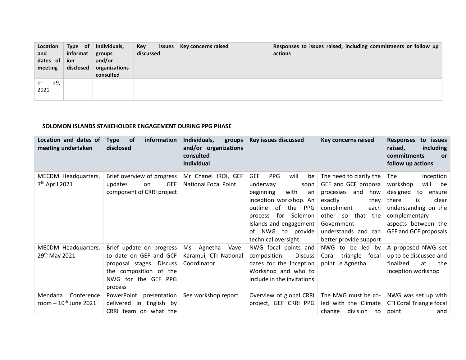| Location<br>and<br>dates of<br>meeting | <b>Type</b><br>of<br>informat<br>ion<br>disclosed | Individuals,<br>groups<br>and/or<br>organizations<br>consulted | Key<br>issues  <br>discussed | <b>Key concerns raised</b> | Responses to issues raised, including commitments or follow up<br>actions |
|----------------------------------------|---------------------------------------------------|----------------------------------------------------------------|------------------------------|----------------------------|---------------------------------------------------------------------------|
| 29,<br>er<br>2021                      |                                                   |                                                                |                              |                            |                                                                           |

# **SOLOMON ISLANDS STAKEHOLDER ENGAGEMENT DURING PPG PHASE**

| Location and dates of<br>meeting undertaken        | information<br><b>Type</b><br><b>of</b><br>disclosed                                                                                       | Individuals,<br>groups<br>and/or organizations<br>consulted<br><b>Individual</b> | Key issues discussed                                                                                                                                                                                                                            | Key concerns raised                                                                                                                                                                                 | to issues<br><b>Responses</b><br>raised,<br>including<br>commitments<br>or<br>follow up actions                                                                                      |
|----------------------------------------------------|--------------------------------------------------------------------------------------------------------------------------------------------|----------------------------------------------------------------------------------|-------------------------------------------------------------------------------------------------------------------------------------------------------------------------------------------------------------------------------------------------|-----------------------------------------------------------------------------------------------------------------------------------------------------------------------------------------------------|--------------------------------------------------------------------------------------------------------------------------------------------------------------------------------------|
| MECDM Headquarters,<br>$7th$ April 2021            | Brief overview of progress<br><b>GEF</b><br>updates<br>on<br>component of CRRI project                                                     | Mr Chanel IROI, GEF<br><b>National Focal Point</b>                               | will<br><b>PPG</b><br><b>GEF</b><br>be<br>underway<br>soon<br>beginning<br>with<br>an<br>inception workshop. An<br>outline<br>of<br>the PPG<br>for Solomon<br>process<br>Islands and engagement<br>NWG to provide<br>of<br>technical oversight. | The need to clarify the<br>GEF and GCF proposa<br>processes and<br>how<br>exactly<br>they<br>compliment<br>each<br>other so that the<br>Government<br>understands and can<br>better provide support | Inception<br>The<br>will be<br>workshop<br>designed<br>to<br>ensure<br>there<br>is<br>clear<br>understanding on the<br>complementary<br>aspects between the<br>GEF and GCF proposals |
| MECDM Headquarters,<br>29 <sup>th</sup> May 2021   | Brief update on progress<br>to date on GEF and GCF<br>proposal stages. Discuss<br>the composition of the<br>NWG for the GEF PPG<br>process | Ms<br>Agnetha<br>Vave-<br>Karamui, CTI National<br>Coordinator                   | NWG focal points and<br>composition.<br><b>Discuss</b><br>dates for the Inception<br>Workshop and who to<br>include in the invitations                                                                                                          | NWG to be<br>led<br>bv<br>Coral<br>triangle focal<br>point i.e Agnetha                                                                                                                              | A proposed NWG set<br>up to be discussed and<br>finalized<br>at<br>the<br>Inception workshop                                                                                         |
| Conference<br>Mendana<br>room $-10^{th}$ June 2021 | PowerPoint presentation<br>delivered<br>English by<br>in<br>CRRI team on what the                                                          | See workshop report                                                              | Overview of global CRRI<br>project, GEF CRRI PPG                                                                                                                                                                                                | The NWG must be co-<br>led with the Climate<br>division<br>change<br>to                                                                                                                             | NWG was set up with<br>CTI Coral Triangle focal<br>point<br>and                                                                                                                      |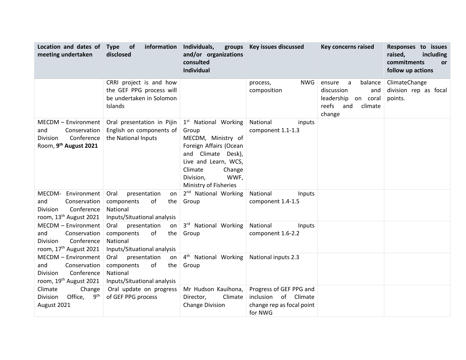| Location and dates of<br>meeting undertaken                                                                         | information<br><b>Type</b><br>of<br>disclosed                                                    | Individuals,<br>groups<br>and/or organizations<br>consulted<br>Individual                                                                                                                                  | Key issues discussed                                                                    | <b>Key concerns raised</b>                                                                                 | Responses to issues<br>raised,<br>including<br>commitments<br><b>or</b><br>follow up actions |
|---------------------------------------------------------------------------------------------------------------------|--------------------------------------------------------------------------------------------------|------------------------------------------------------------------------------------------------------------------------------------------------------------------------------------------------------------|-----------------------------------------------------------------------------------------|------------------------------------------------------------------------------------------------------------|----------------------------------------------------------------------------------------------|
|                                                                                                                     | CRRI project is and how<br>the GEF PPG process will<br>be undertaken in Solomon<br>Islands       |                                                                                                                                                                                                            | NWG<br>process,<br>composition                                                          | balance<br>ensure<br>a<br>discussion<br>and<br>leadership<br>on coral<br>reefs<br>and<br>climate<br>change | ClimateChange<br>division rep as focal<br>points.                                            |
| MECDM - Environment<br>Conservation<br>and<br>Conference<br>Division<br>Room, 9th August 2021                       | Oral presentation in Pijin<br>English on components of<br>the National Inputs                    | 1 <sup>st</sup> National Working<br>Group<br>MECDM, Ministry of<br>Foreign Affairs (Ocean<br>and Climate Desk),<br>Live and Learn, WCS,<br>Climate<br>Change<br>WWF,<br>Division,<br>Ministry of Fisheries | National<br>inputs<br>component 1.1-1.3                                                 |                                                                                                            |                                                                                              |
| Environment<br>MECDM-<br>and<br>Conservation<br>Conference<br><b>Division</b><br>room, 13 <sup>th</sup> August 2021 | Oral<br>presentation<br>on<br>of<br>components<br>the<br>National<br>Inputs/Situational analysis | 2 <sup>nd</sup> National Working<br>Group                                                                                                                                                                  | National<br>Inputs<br>component 1.4-1.5                                                 |                                                                                                            |                                                                                              |
| MECDM - Environment<br>and<br>Conservation<br>Conference<br>Division<br>room, 17 <sup>th</sup> August 2021          | Oral<br>presentation<br>on<br>of<br>the<br>components<br>National<br>Inputs/Situational analysis | 3rd National Working<br>Group                                                                                                                                                                              | National<br>Inputs<br>component 1.6-2.2                                                 |                                                                                                            |                                                                                              |
| MECDM - Environment<br>and<br>Conservation<br>Conference<br>Division<br>room, 19 <sup>th</sup> August 2021          | Oral<br>presentation<br>on<br>of<br>the<br>components<br>National<br>Inputs/Situational analysis | 4 <sup>th</sup> National Working<br>Group                                                                                                                                                                  | National inputs 2.3                                                                     |                                                                                                            |                                                                                              |
| Climate<br>Change<br>9 <sup>th</sup><br>Division<br>Office,<br>August 2021                                          | Oral update on progress<br>of GEF PPG process                                                    | Mr Hudson Kauihona,<br>Climate<br>Director,<br><b>Change Division</b>                                                                                                                                      | Progress of GEF PPG and<br>inclusion of Climate<br>change rep as focal point<br>for NWG |                                                                                                            |                                                                                              |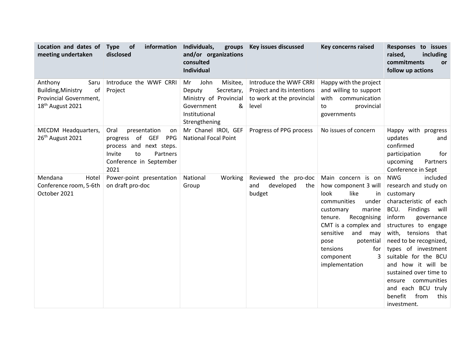| Location and dates of<br>meeting undertaken                                                                  | of<br>information<br><b>Type</b><br>disclosed                                                                                                         | Individuals,<br>groups<br>and/or organizations<br>consulted<br><b>Individual</b>                                              | <b>Key issues discussed</b>                                                                | <b>Key concerns raised</b>                                                                                                                                                                                                                                               | Responses to issues<br>raised,<br>including<br>commitments<br><b>or</b><br>follow up actions                                                                                                                                                                                                                                                                                                                |
|--------------------------------------------------------------------------------------------------------------|-------------------------------------------------------------------------------------------------------------------------------------------------------|-------------------------------------------------------------------------------------------------------------------------------|--------------------------------------------------------------------------------------------|--------------------------------------------------------------------------------------------------------------------------------------------------------------------------------------------------------------------------------------------------------------------------|-------------------------------------------------------------------------------------------------------------------------------------------------------------------------------------------------------------------------------------------------------------------------------------------------------------------------------------------------------------------------------------------------------------|
| Anthony<br>Saru<br>of<br><b>Building, Ministry</b><br>Provincial Government,<br>18 <sup>th</sup> August 2021 | Introduce the WWF CRRI<br>Project                                                                                                                     | John<br>Mr<br>Misitee,<br>Deputy<br>Secretary,<br>Ministry of Provincial<br>&<br>Government<br>Institutional<br>Strengthening | Introduce the WWF CRRI<br>Project and its intentions<br>to work at the provincial<br>level | Happy with the project<br>and willing to support<br>with communication<br>provincial<br>to<br>governments                                                                                                                                                                |                                                                                                                                                                                                                                                                                                                                                                                                             |
| MECDM Headquarters,<br>26 <sup>th</sup> August 2021                                                          | presentation<br>Oral<br>on<br>progress of GEF<br><b>PPG</b><br>process and next steps.<br>Invite<br>Partners<br>to<br>Conference in September<br>2021 | Mr Chanel IROI, GEF<br><b>National Focal Point</b>                                                                            | Progress of PPG process                                                                    | No issues of concern                                                                                                                                                                                                                                                     | Happy with progress<br>updates<br>and<br>confirmed<br>participation<br>for<br>upcoming<br>Partners<br>Conference in Sept                                                                                                                                                                                                                                                                                    |
| Mendana<br>Hotel<br>Conference room, 5-6th<br>October 2021                                                   | Power-point presentation<br>on draft pro-doc                                                                                                          | National<br>Working<br>Group                                                                                                  | Reviewed the pro-doc<br>and<br>developed<br>the<br>budget                                  | Main concern is on<br>how component 3 will<br>look<br>like<br>in<br>communities<br>under<br>marine<br>customary<br>Recognising<br>tenure.<br>CMT is a complex and<br>sensitive<br>and<br>may<br>potential<br>pose<br>tensions<br>for<br>3<br>component<br>implementation | <b>NWG</b><br>included<br>research and study on<br>customary<br>characteristic of each<br>BCU.<br>Findings<br>will<br>inform<br>governance<br>structures to engage<br>with, tensions that<br>need to be recognized,<br>types of investment<br>suitable for the BCU<br>and how it will be<br>sustained over time to<br>communities<br>ensure<br>and each BCU truly<br>benefit<br>from<br>this<br>investment. |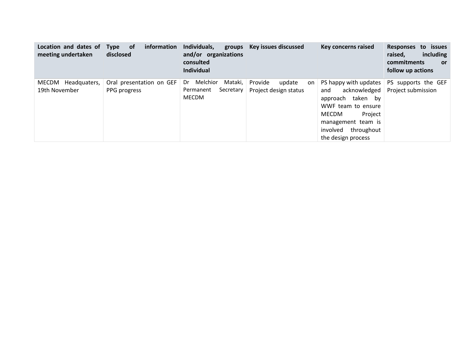| Location and dates of<br>meeting undertaken   | information<br><b>Type</b><br>of<br>disclosed | Individuals,<br>groups<br>and/or organizations<br>consulted<br><b>Individual</b> | Key issues discussed                             | Key concerns raised                                                                                                                                                | Responses to issues<br>including<br>raised,<br>commitments<br><b>or</b><br>follow up actions |
|-----------------------------------------------|-----------------------------------------------|----------------------------------------------------------------------------------|--------------------------------------------------|--------------------------------------------------------------------------------------------------------------------------------------------------------------------|----------------------------------------------------------------------------------------------|
| <b>MECDM</b><br>Headquaters,<br>19th November | Oral presentation on GEF<br>PPG progress      | Melchior<br>Mataki, I<br>Dr<br>Secretary<br>Permanent<br><b>MECDM</b>            | Provide<br>update<br>on<br>Project design status | acknowledged<br>and<br>taken by<br>approach<br>WWF team to ensure<br><b>MECDM</b><br>Project<br>management team is<br>throughout<br>involved<br>the design process | PS happy with updates $ $ PS supports the GEF<br>Project submission                          |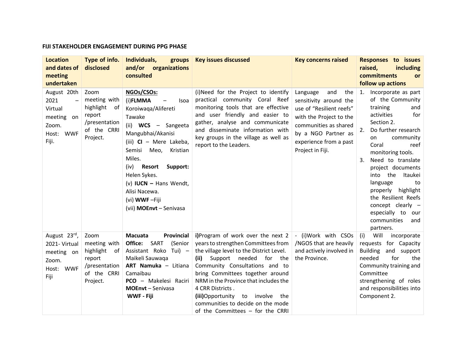## **FIJI STAKEHOLDER ENGAGEMENT DURING PPG PHASE**

| <b>Location</b><br>and dates of<br>meeting<br>undertaken                                 | Type of info.<br>disclosed                                                                    | Individuals,<br>groups<br>and/or organizations<br>consulted                                                                                                                                                                                                                                                                                       | <b>Key issues discussed</b>                                                                                                                                                                                                                                                                                                                                                                                          | <b>Key concerns raised</b>                                                                                                                                                                            | <b>Responses to issues</b><br>raised,<br>including<br>commitments<br><b>or</b><br>follow up actions                                                                                                                                                                                                                                                                                                             |
|------------------------------------------------------------------------------------------|-----------------------------------------------------------------------------------------------|---------------------------------------------------------------------------------------------------------------------------------------------------------------------------------------------------------------------------------------------------------------------------------------------------------------------------------------------------|----------------------------------------------------------------------------------------------------------------------------------------------------------------------------------------------------------------------------------------------------------------------------------------------------------------------------------------------------------------------------------------------------------------------|-------------------------------------------------------------------------------------------------------------------------------------------------------------------------------------------------------|-----------------------------------------------------------------------------------------------------------------------------------------------------------------------------------------------------------------------------------------------------------------------------------------------------------------------------------------------------------------------------------------------------------------|
| August 20th<br>2021<br>Virtual<br>meeting<br>on<br>Zoom.<br><b>WWF</b><br>Host:<br>Fiji. | Zoom<br>meeting with<br>highlight<br>of<br>report<br>/presentation<br>of the CRRI<br>Project. | NGOs/CSOs:<br>(i)FLMMA<br>Isoa<br>$\overline{\phantom{m}}$<br>Koroiwaqa/Alifereti<br>Tawake<br>(ii) WCS - Sangeeta<br>Mangubhai/Akanisi<br>(iii) CI - Mere Lakeba,<br>Semisi<br>Kristian<br>Meo,<br>Miles.<br>Resort<br>(iv)<br>Support:<br>Helen Sykes.<br>$(v)$ IUCN - Hans Wendt,<br>Alisi Nacewa.<br>(vi) WWF-Fiji<br>(vii) MOEnvt - Senivasa | (i)Need for the Project to identify<br>practical community Coral Reef<br>monitoring tools that are effective<br>and user friendly and easier to<br>gather, analyse and communicate<br>and disseminate information with<br>key groups in the village as well as<br>report to the Leaders.                                                                                                                             | Language<br>and<br>the<br>sensitivity around the<br>use of "Resilient reefs"<br>with the Project to the<br>communities as shared<br>by a NGO Partner as<br>experience from a past<br>Project in Fiji. | Incorporate as part<br>1.<br>of the Community<br>training<br>and<br>activities<br>for<br>Section 2.<br>Do further research<br>2.<br>community<br>on<br>Coral<br>reef<br>monitoring tools.<br>Need to translate<br>3.<br>project documents<br>into the<br>Itaukei<br>language<br>to<br>properly<br>highlight<br>the Resilient Reefs<br>concept clearly -<br>especially to our<br>communities<br>and<br>partners. |
| August 23rd,<br>2021- Virtual<br>meeting on<br>Zoom.<br>Host: WWF<br>Fiji                | Zoom<br>meeting with<br>highlight<br>of<br>report<br>/presentation<br>of the CRRI<br>Project. | Provincial<br>Macuata<br>Office:<br>SART<br>(Senior<br>Assistant Roko Tui) -<br>Maikeli Sauwaqa<br>ART Namuka - Litiana<br>Camaibau<br><b>PCO</b> - Makelesi Raciri<br>MOEnvt - Senivasa<br>WWF - Fiji                                                                                                                                            | i)Program of work over the next 2<br>years to strengthen Committees from<br>the village level to the District Level.<br>Support needed<br>for<br>(ii)<br>the<br>Community Consultations and to<br>bring Committees together around<br>NRM in the Province that includes the<br>4 CRR Districts.<br>(iii)Opportunity<br>to<br>involve<br>the<br>communities to decide on the mode<br>of the Committees - for the CRRI | - (i)Work with CSOs<br>/NGOS that are heavily<br>and actively involved in<br>the Province.                                                                                                            | Will<br>(i)<br>incorporate<br>for Capacity<br>requests<br><b>Building</b><br>and<br>support<br>needed<br>for<br>the<br>Community training and<br>Committee<br>strengthening of roles<br>and responsibilities into<br>Component 2.                                                                                                                                                                               |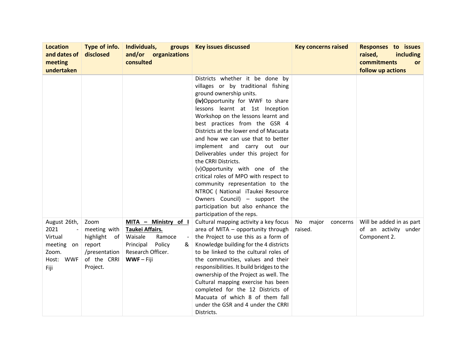| <b>Location</b><br>and dates of<br>meeting<br>undertaken                    | Type of info.<br>disclosed                                                                      | Individuals,<br>and/or organizations<br>consulted                                                                                       | groups   Key issues discussed                                                                                                                                                                                                                                                                                                                                                                                                                                                                                                                                                                                                                                                     | <b>Key concerns raised</b>      | Responses to issues<br>raised,<br><b>including</b><br>commitments<br>or<br>follow up actions |
|-----------------------------------------------------------------------------|-------------------------------------------------------------------------------------------------|-----------------------------------------------------------------------------------------------------------------------------------------|-----------------------------------------------------------------------------------------------------------------------------------------------------------------------------------------------------------------------------------------------------------------------------------------------------------------------------------------------------------------------------------------------------------------------------------------------------------------------------------------------------------------------------------------------------------------------------------------------------------------------------------------------------------------------------------|---------------------------------|----------------------------------------------------------------------------------------------|
|                                                                             |                                                                                                 |                                                                                                                                         | Districts whether it be done by<br>villages or by traditional fishing<br>ground ownership units.<br>(iv)Opportunity for WWF to share<br>lessons learnt at 1st Inception<br>Workshop on the lessons learnt and<br>best practices from the GSR 4<br>Districts at the lower end of Macuata<br>and how we can use that to better<br>implement and carry out our<br>Deliverables under this project for<br>the CRRI Districts.<br>(v)Opportunity with one of the<br>critical roles of MPO with respect to<br>community representation to the<br>NTROC ( National iTaukei Resource<br>Owners Council) - support the<br>participation but also enhance the<br>participation of the reps. |                                 |                                                                                              |
| August 26th,<br>2021<br>Virtual<br>meeting on<br>Zoom.<br>Host: WWF<br>Fiji | Zoom<br>meeting with<br>highlight $of$<br>report<br>$/$ presentation<br>of the CRRI<br>Project. | MITA - Ministry of I<br>Taukei Affairs.<br>Waisale<br>Ramoce<br>$\sim$<br>Principal<br>Policy<br>&<br>Research Officer.<br>$WWF - Fiji$ | Cultural mapping activity a key focus<br>area of MITA - opportunity through<br>the Project to use this as a form of<br>Knowledge building for the 4 districts<br>to be linked to the cultural roles of<br>the communities, values and their<br>responsibilities. It build bridges to the<br>ownership of the Project as well. The<br>Cultural mapping exercise has been<br>completed for the 12 Districts of<br>Macuata of which 8 of them fall<br>under the GSR and 4 under the CRRI<br>Districts.                                                                                                                                                                               | No major<br>concerns<br>raised. | Will be added in as part<br>of an activity under<br>Component 2.                             |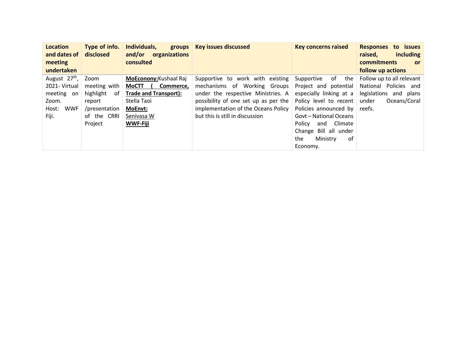| <b>Location</b><br>and dates of<br>meeting<br>undertaken | Type of info.<br>disclosed | Individuals.<br>groups<br>and/or<br>organizations<br>consulted | <b>Key issues discussed</b>          | <b>Key concerns raised</b> | <b>Responses</b><br>to issues<br>including<br>raised,<br>commitments<br><b>or</b><br>follow up actions |
|----------------------------------------------------------|----------------------------|----------------------------------------------------------------|--------------------------------------|----------------------------|--------------------------------------------------------------------------------------------------------|
| August 27 <sup>th</sup> ,                                | Zoom                       | <b>MoEconony:</b> Kushaal Raj                                  | Supportive to work with existing     | of<br>the<br>Supportive    | Follow up to all relevant                                                                              |
| 2021- Virtual                                            | meeting with               | <b>MoCTT</b><br>Commerce,                                      | Working Groups<br>mechanisms of      | Project and potential      | National Policies and                                                                                  |
| meeting on                                               | highlight<br>0f            | Trade and Transport):                                          | under the respective Ministries. A   | especially linking at a    | legislations and plans                                                                                 |
| Zoom.                                                    | report                     | Stella Taoi                                                    | possibility of one set up as per the | Policy level to recent     | under<br>Oceans/Coral                                                                                  |
| <b>WWF</b><br>Host:                                      | /presentation              | MoEnvt:                                                        | implementation of the Oceans Policy  | Policies announced by      | reefs.                                                                                                 |
| Fiji.                                                    | of the CRRI                | Senivasa W                                                     | but this is still in discussion      | Govt - National Oceans     |                                                                                                        |
|                                                          | Project                    | <b>WWF-Fiji</b>                                                |                                      | Climate<br>Policy<br>and   |                                                                                                        |
|                                                          |                            |                                                                |                                      | Change Bill all under      |                                                                                                        |
|                                                          |                            |                                                                |                                      | Ministry<br>0f<br>the      |                                                                                                        |
|                                                          |                            |                                                                |                                      | Economy.                   |                                                                                                        |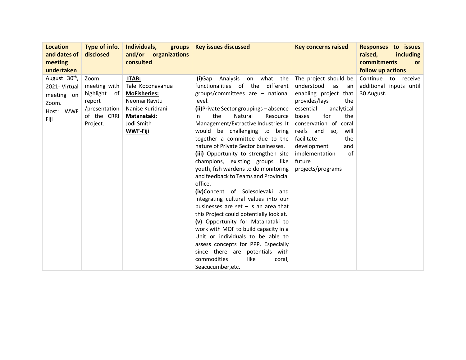| Location<br>and dates of<br>meeting<br>undertaken                                                | Type of info.<br>disclosed                                                                 | Individuals,<br>groups<br>and/or organizations<br>consulted                                                                            | <b>Key issues discussed</b>                                                                                                                                                                                                                                                                                                                                                                                                                                                                                                                                                                                                                                                                                                                                                                                                                                                                                                                       | <b>Key concerns raised</b>                                                                                                                                                                                                                                                                                | Responses to issues<br>raised,<br><b>including</b><br>commitments<br>or<br>follow up actions |
|--------------------------------------------------------------------------------------------------|--------------------------------------------------------------------------------------------|----------------------------------------------------------------------------------------------------------------------------------------|---------------------------------------------------------------------------------------------------------------------------------------------------------------------------------------------------------------------------------------------------------------------------------------------------------------------------------------------------------------------------------------------------------------------------------------------------------------------------------------------------------------------------------------------------------------------------------------------------------------------------------------------------------------------------------------------------------------------------------------------------------------------------------------------------------------------------------------------------------------------------------------------------------------------------------------------------|-----------------------------------------------------------------------------------------------------------------------------------------------------------------------------------------------------------------------------------------------------------------------------------------------------------|----------------------------------------------------------------------------------------------|
| August 30 <sup>th</sup> ,<br>2021- Virtual<br>meeting on<br>Zoom.<br><b>WWF</b><br>Host:<br>Fiji | Zoom<br>meeting with<br>highlight of<br>report<br>/presentation<br>of the CRRI<br>Project. | ITAB:<br>Talei Koconavanua<br><b>MoFisheries:</b><br>Neomai Ravitu<br>Nanise Kuridrani<br>Matanataki:<br>Jodi Smith<br><b>WWF-Fiji</b> | on what the<br>(i)Gap Analysis<br>functionalities of the<br>different<br>groups/committees are $-$ national<br>level.<br>(ii) Private Sector groupings - absence<br>the<br>Natural<br>Resource<br>in.<br>Management/Extractive Industries. It<br>would be challenging to bring<br>together a committee due to the<br>nature of Private Sector businesses.<br>(iii) Opportunity to strengthen site<br>champions, existing groups like<br>youth, fish wardens to do monitoring<br>and feedback to Teams and Provincial<br>office.<br>(iv)Concept of Solesolevaki and<br>integrating cultural values into our<br>businesses are set $-$ is an area that<br>this Project could potentially look at.<br>(v) Opportunity for Matanataki to<br>work with MOF to build capacity in a<br>Unit or individuals to be able to<br>assess concepts for PPP. Especially<br>since there are potentials with<br>commodities<br>like<br>coral,<br>Seacucumber, etc. | The project should be<br>understood<br>as<br>an<br>enabling project that<br>provides/lays<br>the<br>essential<br>analytical<br>for<br>the<br>bases<br>conservation of coral<br>reefs and<br>will<br>SO,<br>facilitate<br>the<br>development<br>and<br>implementation<br>of<br>future<br>projects/programs | Continue to receive<br>additional inputs until<br>30 August.                                 |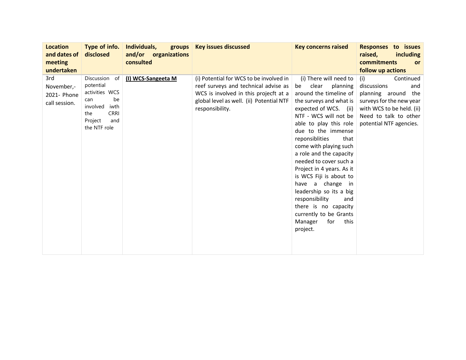| <b>Location</b><br>and dates of<br>meeting<br>undertaken | Type of info.<br>disclosed                                                                                                            | Individuals,<br>groups<br>and/or<br>organizations<br>consulted | <b>Key issues discussed</b>                                                                                                                                                             | <b>Key concerns raised</b>                                                                                                                                                                                                                                                                                                                                                                                                                                                                                                                    | Responses to issues<br>raised,<br><b>including</b><br>commitments<br><b>or</b><br>follow up actions                                                                        |
|----------------------------------------------------------|---------------------------------------------------------------------------------------------------------------------------------------|----------------------------------------------------------------|-----------------------------------------------------------------------------------------------------------------------------------------------------------------------------------------|-----------------------------------------------------------------------------------------------------------------------------------------------------------------------------------------------------------------------------------------------------------------------------------------------------------------------------------------------------------------------------------------------------------------------------------------------------------------------------------------------------------------------------------------------|----------------------------------------------------------------------------------------------------------------------------------------------------------------------------|
| 3rd<br>November,-<br>2021- Phone<br>call session.        | Discussion of<br>potential<br>activities WCS<br>be<br>can<br>involved<br>iwth<br><b>CRRI</b><br>the<br>Project<br>and<br>the NTF role | (I) WCS-Sangeeta M                                             | (i) Potential for WCS to be involved in<br>reef surveys and technical advise as<br>WCS is involved in this projecft at a<br>global level as well. (ii) Potential NTF<br>responsibility. | (i) There will need to<br>clear<br>planning<br>be<br>around the timeline of<br>the surveys and what is<br>expected of WCS. (ii)<br>NTF - WCS will not be<br>able to play this role<br>due to the immense<br>reponsiblities<br>that<br>come with playing such<br>a role and the capacity<br>needed to cover such a<br>Project in 4 years. As it<br>is WCS Fiji is about to<br>have a change<br>in.<br>leadership so its a big<br>responsibility<br>and<br>there is no capacity<br>currently to be Grants<br>Manager<br>this<br>for<br>project. | Continued<br>(i)<br>discussions<br>and<br>planning around the<br>surveys for the new year<br>with WCS to be held. (ii)<br>Need to talk to other<br>potential NTF agencies. |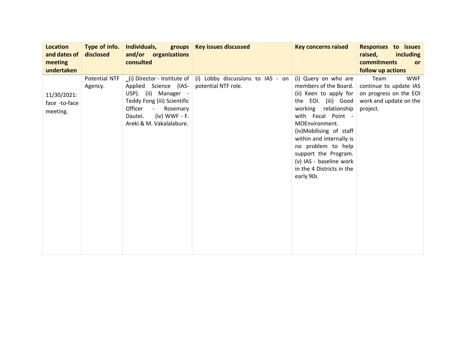| <b>Location</b><br>and dates of<br>meeting<br>undertaken | Type of info.   Individuals,<br>disclosed | groups<br>and/or organizations<br>consulted                                                                                                                                  | <b>Key issues discussed</b>                                                              | <b>Key concerns raised</b>                                                                                                                                                                                                                                                                                                                  | <b>Responses to issues</b><br>raised,<br>including<br>commitments<br><b>or</b><br>follow up actions          |
|----------------------------------------------------------|-------------------------------------------|------------------------------------------------------------------------------------------------------------------------------------------------------------------------------|------------------------------------------------------------------------------------------|---------------------------------------------------------------------------------------------------------------------------------------------------------------------------------------------------------------------------------------------------------------------------------------------------------------------------------------------|--------------------------------------------------------------------------------------------------------------|
| 11/30/2021:<br>face -to-face<br>meeting.                 | Potential NTF<br>Agency.                  | Applied Science (IAS-<br>USP). (ii) Manager -<br>Teddy Fong (iii) Scientific<br>Officer<br>Rosemary<br>$\sim$ $-$<br>(iv) WWF - $F$ .<br>Dautei.<br>Areki & M. Vakalalabure. | $(i)$ Director - Institute of $(i)$ Lobby discussions to IAS - on<br>potential NTF role. | (i) Query on who are<br>members of the Board.<br>(ii) Keen to apply for<br>the EOI. (iii) Good<br>working<br>relationship<br>with Focal Point -<br>MOEnvironment.<br>(iv)Mobilising of staff<br>within and internally is<br>no problem to help<br>support the Program.<br>(v) IAS - baseline work<br>in the 4 Districts in the<br>early 90s | Team<br><b>WWF</b><br>continue to update IAS<br>on progress on the EOI<br>work and update on the<br>project. |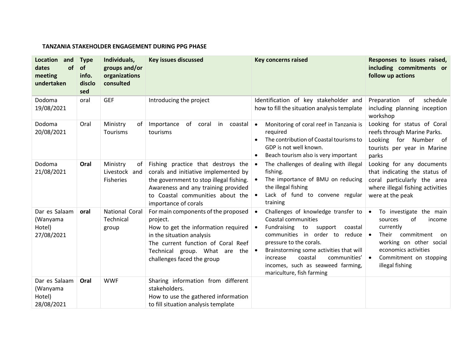# **TANZANIA STAKEHOLDER ENGAGEMENT DURING PPG PHASE**

| Location and<br>of<br>dates<br>meeting<br>undertaken | <b>Type</b><br>of<br>info.<br>disclo<br>sed | Individuals,<br>groups and/or<br>organizations<br>consulted | <b>Key issues discussed</b>                                                                                                                                                                                              | <b>Key concerns raised</b>                                                                                                                                                                                                                                                                                                                                       | Responses to issues raised,<br>including commitments or<br>follow up actions                                                                                                                                                                       |
|------------------------------------------------------|---------------------------------------------|-------------------------------------------------------------|--------------------------------------------------------------------------------------------------------------------------------------------------------------------------------------------------------------------------|------------------------------------------------------------------------------------------------------------------------------------------------------------------------------------------------------------------------------------------------------------------------------------------------------------------------------------------------------------------|----------------------------------------------------------------------------------------------------------------------------------------------------------------------------------------------------------------------------------------------------|
| Dodoma<br>19/08/2021                                 | oral                                        | <b>GEF</b>                                                  | Introducing the project                                                                                                                                                                                                  | Identification of key stakeholder and<br>how to fill the situation analysis template                                                                                                                                                                                                                                                                             | Preparation<br>of<br>schedule<br>including planning inception<br>workshop                                                                                                                                                                          |
| Dodoma<br>20/08/2021                                 | Oral                                        | Ministry<br>0f<br>Tourisms                                  | in<br>Importance<br>of<br>coral<br>coastal<br>tourisms                                                                                                                                                                   | Monitoring of coral reef in Tanzania is<br>$\bullet$<br>required<br>The contribution of Coastal tourisms to<br>GDP is not well known.<br>Beach tourism also is very important<br>$\bullet$                                                                                                                                                                       | Looking for status of Coral<br>reefs through Marine Parks.<br>Looking for Number of<br>tourists per year in Marine<br>parks                                                                                                                        |
| Dodoma<br>21/08/2021                                 | Oral                                        | Ministry<br>of<br>Livestock and<br><b>Fisheries</b>         | Fishing practice that destroys the<br>corals and initiative implemented by<br>the government to stop illegal fishing.<br>Awareness and any training provided<br>to Coastal communities about the<br>importance of corals | The challenges of dealing with illegal<br>$\bullet$<br>fishing.<br>The importance of BMU on reducing<br>$\bullet$<br>the illegal fishing<br>Lack of fund to convene regular<br>$\bullet$<br>training                                                                                                                                                             | Looking for any documents<br>that indicating the status of<br>coral particularly the area<br>where illegal fishing activities<br>were at the peak                                                                                                  |
| Dar es Salaam<br>(Wanyama<br>Hotel)<br>27/08/2021    | oral                                        | <b>National Coral</b><br>Technical<br>group                 | For main components of the proposed<br>project.<br>How to get the information required<br>in the situation analysis<br>The current function of Coral Reef<br>Technical group. What are the<br>challenges faced the group | Challenges of knowledge transfer to<br>$\bullet$<br>Coastal communities<br>to<br>Fundraising<br>coastal<br>support<br>$\bullet$<br>communities in order to<br>reduce<br>pressure to the corals.<br>Brainstorming some activities that will<br>$\bullet$<br>coastal<br>communities'<br>increase<br>incomes, such as seaweed farming,<br>mariculture, fish farming | To investigate the main<br>$\bullet$<br>of<br>sources<br>income<br>currently<br>Their<br>commitment<br>$\overline{\phantom{a}}$<br>on<br>working on other social<br>economics activities<br>Commitment on stopping<br>$\bullet$<br>illegal fishing |
| Dar es Salaam<br>(Wanyama<br>Hotel)<br>28/08/2021    | Oral                                        | <b>WWF</b>                                                  | Sharing information from different<br>stakeholders.<br>How to use the gathered information<br>to fill situation analysis template                                                                                        |                                                                                                                                                                                                                                                                                                                                                                  |                                                                                                                                                                                                                                                    |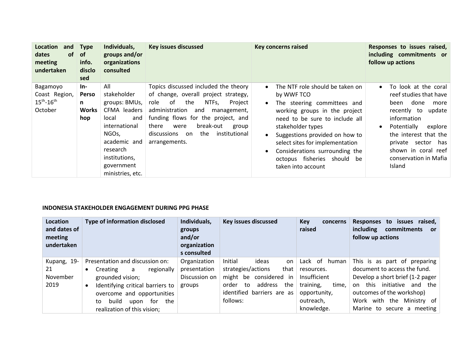| Location<br>and<br>dates<br>meeting<br>undertaken           | <b>Type</b><br>$of$ of<br>info.<br>disclo<br>sed | Individuals,<br>groups and/or<br>organizations<br>consulted                                                                                                                  | <b>Key issues discussed</b>                                                                                                                                                                                                                                                                                         | <b>Key concerns raised</b>                                                                                                                                                                                                                                                                                                                                    | Responses to issues raised,<br>including commitments or<br>follow up actions                                                                                                                                                                   |
|-------------------------------------------------------------|--------------------------------------------------|------------------------------------------------------------------------------------------------------------------------------------------------------------------------------|---------------------------------------------------------------------------------------------------------------------------------------------------------------------------------------------------------------------------------------------------------------------------------------------------------------------|---------------------------------------------------------------------------------------------------------------------------------------------------------------------------------------------------------------------------------------------------------------------------------------------------------------------------------------------------------------|------------------------------------------------------------------------------------------------------------------------------------------------------------------------------------------------------------------------------------------------|
| Bagamoyo<br>Coast Region,<br>$15^{th} - 16^{th}$<br>October | In-<br><b>Perso</b><br>n.<br><b>Works</b><br>hop | All<br>stakeholder<br>groups: BMUs,<br>CFMA leaders<br>local<br>and<br>international<br>NGOs,<br>academic and<br>research<br>institutions,<br>government<br>ministries, etc. | Topics discussed included the theory<br>of change, overall project strategy,<br>the<br>NTFs,<br>$\circ$ of<br>Project<br>role<br>administration<br>and<br>management,<br>funding flows for the project, and<br>break-out<br>there<br>were<br>group<br>institutional<br>discussions<br>the<br>on on<br>arrangements. | The NTF role should be taken on<br>$\bullet$<br>by WWF TCO<br>The steering committees and<br>$\bullet$<br>working groups in the project<br>need to be sure to include all<br>stakeholder types<br>Suggestions provided on how to<br>select sites for implementation<br>Considerations surrounding the<br>octopus fisheries should<br>be<br>taken into account | To look at the coral<br>reef studies that have<br>done<br>been<br>more<br>recently to update<br>information<br>Potentially<br>explore<br>the interest that the<br>private sector has<br>shown in coral reef<br>conservation in Mafia<br>Island |

# **INDONESIA STAKEHOLDER ENGAGEMENT DURING PPG PHASE**

| Location<br>and dates of<br>meeting<br>undertaken | <b>Type of information disclosed</b>          | Individuals,<br>groups<br>and/or<br>organization<br>s consulted | <b>Key issues discussed</b>   | <b>Key</b><br>concerns<br>raised | <b>Responses</b><br>to issues raised,<br>including<br>commitments<br><b>or</b><br>follow up actions |
|---------------------------------------------------|-----------------------------------------------|-----------------------------------------------------------------|-------------------------------|----------------------------------|-----------------------------------------------------------------------------------------------------|
| Kupang, 19-                                       | Presentation and discussion on:               | Organization                                                    | Initial<br>ideas<br>on        | Lack of human                    | This is as part of preparing                                                                        |
| 21                                                | regionally<br>Creating<br>a<br>$\bullet$      | presentation                                                    | strategies/actions<br>that    | resources.                       | document to access the fund.                                                                        |
| November                                          | grounded vision;                              | Discussion on                                                   | considered in<br>might be     | Insufficient                     | Develop a short brief (1-2 pager                                                                    |
| 2019                                              | Identifying critical barriers to<br>$\bullet$ | groups                                                          | address<br>the<br>to<br>order | training,<br>time.               | initiative<br>this<br>and<br>the<br>on                                                              |
|                                                   | overcome and opportunities                    |                                                                 | identified barriers are as    | opportunity,                     | outcomes of the workshop)                                                                           |
|                                                   | build<br>the<br>for<br>upon<br>to             |                                                                 | follows:                      | outreach,                        | Work with the Ministry of                                                                           |
|                                                   | realization of this vision;                   |                                                                 |                               | knowledge.                       | Marine to secure a meeting                                                                          |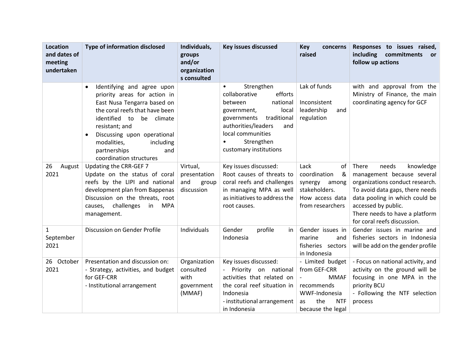| <b>Location</b><br>and dates of<br>meeting<br>undertaken | <b>Type of information disclosed</b>                                                                                                                                                                                                                                                                                | Individuals,<br>groups<br>and/or<br>organization<br>s consulted | <b>Key issues discussed</b>                                                                                                                                                                                                              | <b>Key</b><br>concerns<br>raised                                                                                               | Responses to issues raised,<br>including<br>commitments<br><b>or</b><br>follow up actions                                                                                                                                                                 |
|----------------------------------------------------------|---------------------------------------------------------------------------------------------------------------------------------------------------------------------------------------------------------------------------------------------------------------------------------------------------------------------|-----------------------------------------------------------------|------------------------------------------------------------------------------------------------------------------------------------------------------------------------------------------------------------------------------------------|--------------------------------------------------------------------------------------------------------------------------------|-----------------------------------------------------------------------------------------------------------------------------------------------------------------------------------------------------------------------------------------------------------|
|                                                          | Identifying and agree upon<br>$\bullet$<br>priority areas for action in<br>East Nusa Tengarra based on<br>the coral reefs that have been<br>identified to<br>be climate<br>resistant; and<br>Discussing upon operational<br>$\bullet$<br>modalities,<br>including<br>partnerships<br>and<br>coordination structures |                                                                 | Strengthen<br>$\bullet$<br>efforts<br>collaborative<br>national<br>between<br>government,<br>local<br>traditional<br>governments<br>authorities/leaders<br>and<br>local communities<br>Strengthen<br>$\bullet$<br>customary institutions | Lak of funds<br>Inconsistent<br>leadership<br>and<br>regulation                                                                | with and approval from the<br>Ministry of Finance, the main<br>coordinating agency for GCF                                                                                                                                                                |
| 26<br>August<br>2021                                     | Updating the CRR-GEF 7<br>Update on the status of coral<br>reefs by the LIPI and national<br>development plan from Bappenas<br>Discussion on the threats, root<br>challenges<br>in<br><b>MPA</b><br>causes,<br>management.                                                                                          | Virtual,<br>presentation<br>and<br>group<br>discussion          | Key issues discussed:<br>Root causes of threats to<br>coral reefs and challenges<br>in managing MPA as well<br>as initiatives to address the<br>root causes.                                                                             | Lack<br>0f<br>coordination<br>&<br>synergy<br>among<br>stakeholders.<br>How access data<br>from researchers                    | There<br>needs<br>knowledge<br>management because several<br>organizations conduct research.<br>To avoid data gaps, there needs<br>data pooling in which could be<br>accessed by public.<br>There needs to have a platform<br>for coral reefs discussion. |
| $\mathbf{1}$<br>September<br>2021                        | Discussion on Gender Profile                                                                                                                                                                                                                                                                                        | Individuals                                                     | profile<br>Gender<br>in<br>Indonesia                                                                                                                                                                                                     | Gender issues in<br>marine<br>and<br>fisheries sectors<br>in Indonesia                                                         | Gender issues in marine and<br>fisheries sectors in Indonesia<br>will be add on the gender profile                                                                                                                                                        |
| 26 October<br>2021                                       | Presentation and discussion on:<br>- Strategy, activities, and budget<br>for GEF-CRR<br>- Institutional arrangement                                                                                                                                                                                                 | Organization<br>consulted<br>with<br>government<br>(MMAF)       | Key issues discussed:<br>Priority on national<br>activities that related on<br>the coral reef situation in<br>Indonesia<br>- institutional arrangement<br>in Indonesia                                                                   | - Limited budget<br>from GEF-CRR<br><b>MMAF</b><br>recommends<br>WWF-Indonesia<br>the<br><b>NTF</b><br>as<br>because the legal | - Focus on national activity, and<br>activity on the ground will be<br>focusing in one MPA in the<br>priority BCU<br>- Following the NTF selection<br>process                                                                                             |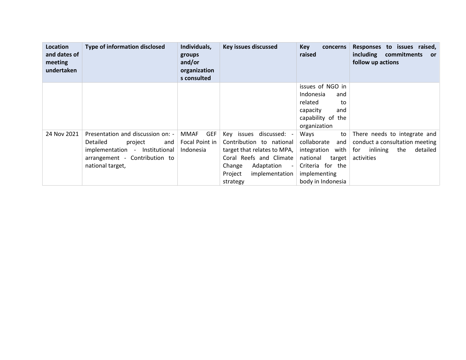| <b>Location</b><br>and dates of<br>meeting<br>undertaken | <b>Type of information disclosed</b>                                                                                                                          | Individuals,<br>groups<br>and/or<br>organization<br>s consulted | <b>Key issues discussed</b>                                                                                                                                                                                   | Key<br>concerns<br>raised                                                                                                              | Responses to issues raised,<br>including<br>commitments<br><b>or</b><br>follow up actions                          |
|----------------------------------------------------------|---------------------------------------------------------------------------------------------------------------------------------------------------------------|-----------------------------------------------------------------|---------------------------------------------------------------------------------------------------------------------------------------------------------------------------------------------------------------|----------------------------------------------------------------------------------------------------------------------------------------|--------------------------------------------------------------------------------------------------------------------|
|                                                          |                                                                                                                                                               |                                                                 |                                                                                                                                                                                                               | issues of NGO in<br>Indonesia<br>and<br>related<br>to<br>capacity<br>and<br>capability of the<br>organization                          |                                                                                                                    |
| 24 Nov 2021                                              | Presentation and discussion on: -<br><b>Detailed</b><br>project<br>and<br>implementation - Institutional<br>arrangement - Contribution to<br>national target, | <b>GEF</b><br>MMAF<br>Focal Point in<br>Indonesia               | discussed: -<br>Key issues<br>Contribution to national<br>target that relates to MPA,<br>Coral Reefs and Climate<br>Change<br>Adaptation<br>$\overline{\phantom{a}}$<br>Project<br>implementation<br>strategy | Ways<br>to<br>collaborate<br>and<br>with<br>integration<br>national<br>target<br>Criteria for the<br>implementing<br>body in Indonesia | There needs to integrate and<br>conduct a consultation meeting<br>inlining<br>the<br>detailed<br>for<br>activities |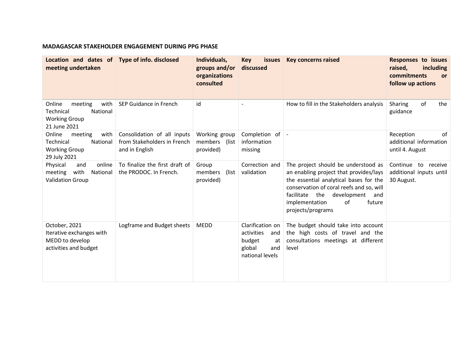## **MADAGASCAR STAKEHOLDER ENGAGEMENT DURING PPG PHASE**

| Location and dates of Type of info. disclosed<br>meeting undertaken                        |                                                                              | Individuals,<br>groups and/or<br>organizations<br>consulted | <b>Key</b><br><b>issues</b><br>discussed                                                  | <b>Key concerns raised</b>                                                                                                                                                                                                                                         | <b>Responses to issues</b><br>raised,<br>including<br>commitments<br>or<br>follow up actions |
|--------------------------------------------------------------------------------------------|------------------------------------------------------------------------------|-------------------------------------------------------------|-------------------------------------------------------------------------------------------|--------------------------------------------------------------------------------------------------------------------------------------------------------------------------------------------------------------------------------------------------------------------|----------------------------------------------------------------------------------------------|
| with<br>Online<br>meeting<br>Technical<br>National<br><b>Working Group</b><br>21 June 2021 | SEP Guidance in French                                                       | id                                                          |                                                                                           | How to fill in the Stakeholders analysis                                                                                                                                                                                                                           | of<br>the<br>Sharing<br>guidance                                                             |
| Online<br>with<br>meeting<br>Technical<br>National<br><b>Working Group</b><br>29 July 2021 | Consolidation of all inputs<br>from Stakeholders in French<br>and in English | Working group<br>members (list<br>provided)                 | Completion of $\vert$ -<br>information<br>missing                                         |                                                                                                                                                                                                                                                                    | Reception<br>of<br>additional information<br>until 4. August                                 |
| Physical<br>online<br>and<br>meeting<br>with<br>National<br><b>Validation Group</b>        | To finalize the first draft of<br>the PRODOC. In French.                     | Group<br>members<br>(list<br>provided)                      | Correction and<br>validation                                                              | The project should be understood as<br>an enabling project that provides/lays<br>the essential analytical bases for the<br>conservation of coral reefs and so, will<br>facilitate the<br>development<br>and<br>implementation<br>future<br>οf<br>projects/programs | Continue<br>to receive<br>additional inputs until<br>30 August.                              |
| October, 2021<br>Iterative exchanges with<br>MEDD to develop<br>activities and budget      | Logframe and Budget sheets                                                   | <b>MEDD</b>                                                 | Clarification on<br>activities<br>and<br>budget<br>at<br>global<br>and<br>national levels | The budget should take into account<br>the high costs of travel and the<br>consultations meetings at different<br>level                                                                                                                                            |                                                                                              |